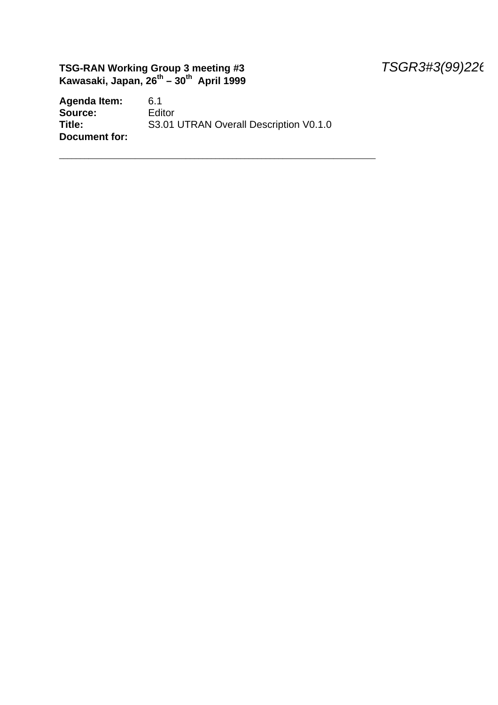### **TSG-RAN Working Group 3 meeting #3** *TSGR3#3(99)226* **Kawasaki, Japan, 26th – 30th April 1999**

Agenda Item: 6.1<br>**Source:** Editor Source:<br>Title: S3.01 UTRAN Overall Description V0.1.0 **Document for:**

\_\_\_\_\_\_\_\_\_\_\_\_\_\_\_\_\_\_\_\_\_\_\_\_\_\_\_\_\_\_\_\_\_\_\_\_\_\_\_\_\_\_\_\_\_\_\_\_\_\_\_\_\_\_\_\_\_\_\_\_\_\_\_\_\_\_\_\_\_\_\_\_\_\_\_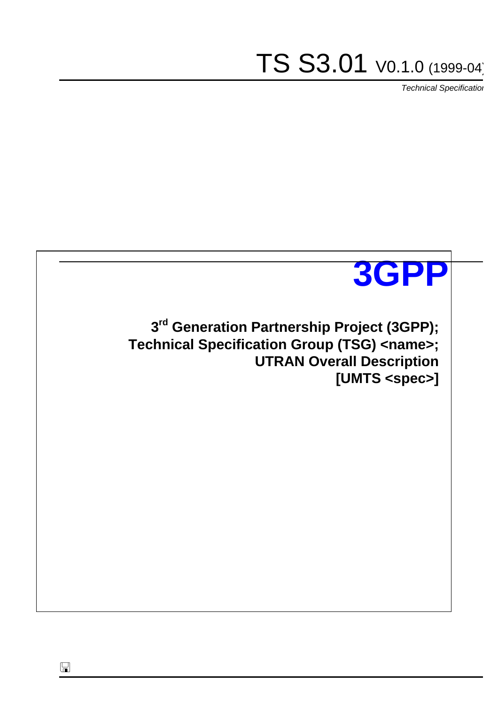TS S3.01 V0.1.0 (1999-04)

*Technical Specification*



 $\Box$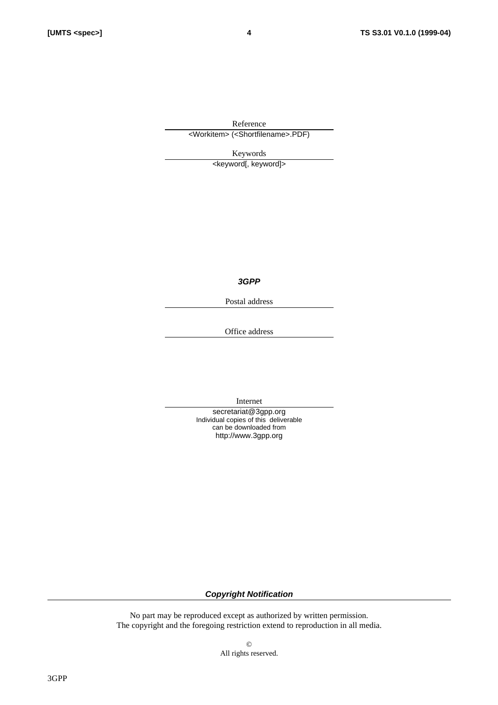Reference <Workitem> (<Shortfilename>.PDF)

Keywords

<keyword[, keyword]>

*3GPP*

Postal address

Office address

Internet

secretariat@3gpp.org Individual copies of this deliverable can be downloaded from http://www.3gpp.org

*Copyright Notification*

No part may be reproduced except as authorized by written permission. The copyright and the foregoing restriction extend to reproduction in all media.

> © All rights reserved.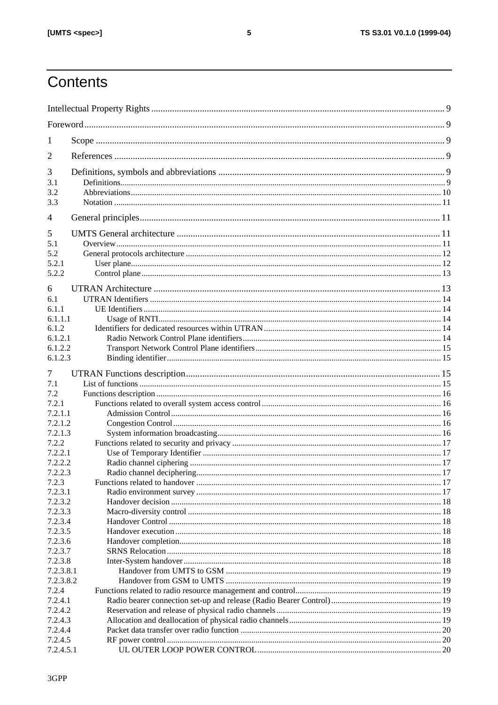# Contents

| 1                  |  |  |
|--------------------|--|--|
| 2                  |  |  |
| 3                  |  |  |
| 3.1                |  |  |
| 3.2                |  |  |
| 3.3                |  |  |
| $\overline{4}$     |  |  |
| 5                  |  |  |
| 5.1                |  |  |
| 5.2                |  |  |
| 5.2.1              |  |  |
| 5.2.2              |  |  |
| 6                  |  |  |
| 6.1                |  |  |
| 6.1.1              |  |  |
| 6.1.1.1            |  |  |
| 6.1.2              |  |  |
| 6.1.2.1            |  |  |
| 6.1.2.2            |  |  |
| 6.1.2.3            |  |  |
| 7                  |  |  |
| 7.1                |  |  |
| 7.2                |  |  |
| 7.2.1              |  |  |
| 7.2.1.1            |  |  |
| 7.2.1.2            |  |  |
| 7.2.1.3            |  |  |
| 7.2.2              |  |  |
| 7.2.2.1            |  |  |
| 7.2.2.2            |  |  |
| 7.2.2.3            |  |  |
| 7.2.3              |  |  |
| 7.2.3.1            |  |  |
| 7.2.3.2            |  |  |
| 7.2.3.3            |  |  |
| 7.2.3.4            |  |  |
| 7.2.3.5            |  |  |
| 7.2.3.6<br>7.2.3.7 |  |  |
| 7.2.3.8            |  |  |
| 7.2.3.8.1          |  |  |
| 7.2.3.8.2          |  |  |
| 7.2.4              |  |  |
| 7.2.4.1            |  |  |
| 7.2.4.2            |  |  |
| 7.2.4.3            |  |  |
| 7.2.4.4            |  |  |
| 7.2.4.5            |  |  |
| 7.2.4.5.1          |  |  |
|                    |  |  |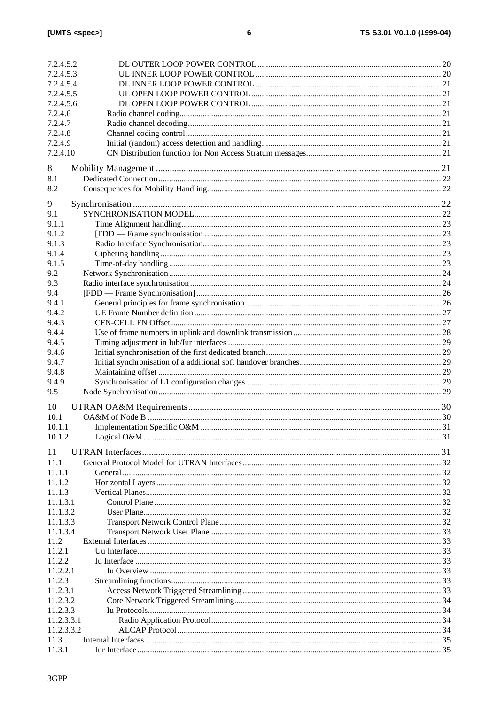| 7.2.4.5.3<br>7.2.4.5.4<br>7.2.4.5.5<br>7.2.4.5.6<br>7.2.4.6<br>7.2.4.7<br>7.2.4.8<br>7.2.4.9<br>7.2.4.10<br>8<br>8.1<br>8.2<br>9<br>9.1<br>9.1.1<br>9.1.2<br>9.1.3<br>9.1.4<br>9.1.5<br>9.2<br>9.3<br>9.4<br>9.4.1<br>9.4.2<br>9.4.3<br>9.4.4<br>9.4.5<br>9.4.6<br>9.4.7<br>9.4.8<br>9.4.9<br>9.5<br>10<br>10.1<br>10.1.1<br>10.1.2<br>11<br>11.1<br>11.1.1<br>11.1.2<br>11.1.3<br>11.1.3.1<br>11.1.3.2<br>11.1.3.3<br>11.1.3.4<br>11.2<br>11.2.1<br>11.2.2<br>11.2.2.1<br>11.2.3<br>11.2.3.1<br>11.2.3.2<br>11.2.3.3<br>11.2.3.3.1<br>11.2.3.3.2<br>11.3<br>11.3.1 | 7.2.4.5.2 |  |
|---------------------------------------------------------------------------------------------------------------------------------------------------------------------------------------------------------------------------------------------------------------------------------------------------------------------------------------------------------------------------------------------------------------------------------------------------------------------------------------------------------------------------------------------------------------------|-----------|--|
|                                                                                                                                                                                                                                                                                                                                                                                                                                                                                                                                                                     |           |  |
|                                                                                                                                                                                                                                                                                                                                                                                                                                                                                                                                                                     |           |  |
|                                                                                                                                                                                                                                                                                                                                                                                                                                                                                                                                                                     |           |  |
|                                                                                                                                                                                                                                                                                                                                                                                                                                                                                                                                                                     |           |  |
|                                                                                                                                                                                                                                                                                                                                                                                                                                                                                                                                                                     |           |  |
|                                                                                                                                                                                                                                                                                                                                                                                                                                                                                                                                                                     |           |  |
|                                                                                                                                                                                                                                                                                                                                                                                                                                                                                                                                                                     |           |  |
|                                                                                                                                                                                                                                                                                                                                                                                                                                                                                                                                                                     |           |  |
|                                                                                                                                                                                                                                                                                                                                                                                                                                                                                                                                                                     |           |  |
|                                                                                                                                                                                                                                                                                                                                                                                                                                                                                                                                                                     |           |  |
|                                                                                                                                                                                                                                                                                                                                                                                                                                                                                                                                                                     |           |  |
|                                                                                                                                                                                                                                                                                                                                                                                                                                                                                                                                                                     |           |  |
|                                                                                                                                                                                                                                                                                                                                                                                                                                                                                                                                                                     |           |  |
|                                                                                                                                                                                                                                                                                                                                                                                                                                                                                                                                                                     |           |  |
|                                                                                                                                                                                                                                                                                                                                                                                                                                                                                                                                                                     |           |  |
|                                                                                                                                                                                                                                                                                                                                                                                                                                                                                                                                                                     |           |  |
|                                                                                                                                                                                                                                                                                                                                                                                                                                                                                                                                                                     |           |  |
|                                                                                                                                                                                                                                                                                                                                                                                                                                                                                                                                                                     |           |  |
|                                                                                                                                                                                                                                                                                                                                                                                                                                                                                                                                                                     |           |  |
|                                                                                                                                                                                                                                                                                                                                                                                                                                                                                                                                                                     |           |  |
|                                                                                                                                                                                                                                                                                                                                                                                                                                                                                                                                                                     |           |  |
|                                                                                                                                                                                                                                                                                                                                                                                                                                                                                                                                                                     |           |  |
|                                                                                                                                                                                                                                                                                                                                                                                                                                                                                                                                                                     |           |  |
|                                                                                                                                                                                                                                                                                                                                                                                                                                                                                                                                                                     |           |  |
|                                                                                                                                                                                                                                                                                                                                                                                                                                                                                                                                                                     |           |  |
|                                                                                                                                                                                                                                                                                                                                                                                                                                                                                                                                                                     |           |  |
|                                                                                                                                                                                                                                                                                                                                                                                                                                                                                                                                                                     |           |  |
|                                                                                                                                                                                                                                                                                                                                                                                                                                                                                                                                                                     |           |  |
|                                                                                                                                                                                                                                                                                                                                                                                                                                                                                                                                                                     |           |  |
|                                                                                                                                                                                                                                                                                                                                                                                                                                                                                                                                                                     |           |  |
|                                                                                                                                                                                                                                                                                                                                                                                                                                                                                                                                                                     |           |  |
|                                                                                                                                                                                                                                                                                                                                                                                                                                                                                                                                                                     |           |  |
|                                                                                                                                                                                                                                                                                                                                                                                                                                                                                                                                                                     |           |  |
|                                                                                                                                                                                                                                                                                                                                                                                                                                                                                                                                                                     |           |  |
|                                                                                                                                                                                                                                                                                                                                                                                                                                                                                                                                                                     |           |  |
|                                                                                                                                                                                                                                                                                                                                                                                                                                                                                                                                                                     |           |  |
|                                                                                                                                                                                                                                                                                                                                                                                                                                                                                                                                                                     |           |  |
|                                                                                                                                                                                                                                                                                                                                                                                                                                                                                                                                                                     |           |  |
|                                                                                                                                                                                                                                                                                                                                                                                                                                                                                                                                                                     |           |  |
|                                                                                                                                                                                                                                                                                                                                                                                                                                                                                                                                                                     |           |  |
|                                                                                                                                                                                                                                                                                                                                                                                                                                                                                                                                                                     |           |  |
|                                                                                                                                                                                                                                                                                                                                                                                                                                                                                                                                                                     |           |  |
|                                                                                                                                                                                                                                                                                                                                                                                                                                                                                                                                                                     |           |  |
|                                                                                                                                                                                                                                                                                                                                                                                                                                                                                                                                                                     |           |  |
|                                                                                                                                                                                                                                                                                                                                                                                                                                                                                                                                                                     |           |  |
|                                                                                                                                                                                                                                                                                                                                                                                                                                                                                                                                                                     |           |  |
|                                                                                                                                                                                                                                                                                                                                                                                                                                                                                                                                                                     |           |  |
|                                                                                                                                                                                                                                                                                                                                                                                                                                                                                                                                                                     |           |  |
|                                                                                                                                                                                                                                                                                                                                                                                                                                                                                                                                                                     |           |  |
|                                                                                                                                                                                                                                                                                                                                                                                                                                                                                                                                                                     |           |  |
|                                                                                                                                                                                                                                                                                                                                                                                                                                                                                                                                                                     |           |  |
|                                                                                                                                                                                                                                                                                                                                                                                                                                                                                                                                                                     |           |  |
|                                                                                                                                                                                                                                                                                                                                                                                                                                                                                                                                                                     |           |  |
|                                                                                                                                                                                                                                                                                                                                                                                                                                                                                                                                                                     |           |  |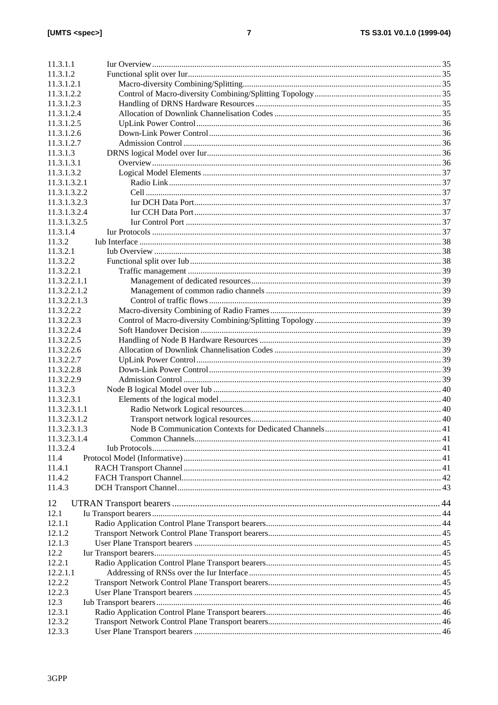| 11.3.1.1     |  |  |  |
|--------------|--|--|--|
|              |  |  |  |
| 11.3.1.2     |  |  |  |
| 11.3.1.2.1   |  |  |  |
| 11.3.1.2.2   |  |  |  |
| 11.3.1.2.3   |  |  |  |
| 11.3.1.2.4   |  |  |  |
| 11.3.1.2.5   |  |  |  |
| 11.3.1.2.6   |  |  |  |
| 11.3.1.2.7   |  |  |  |
| 11.3.1.3     |  |  |  |
|              |  |  |  |
| 11.3.1.3.1   |  |  |  |
| 11.3.1.3.2   |  |  |  |
| 11.3.1.3.2.1 |  |  |  |
| 11.3.1.3.2.2 |  |  |  |
| 11.3.1.3.2.3 |  |  |  |
| 11.3.1.3.2.4 |  |  |  |
| 11.3.1.3.2.5 |  |  |  |
| 11.3.1.4     |  |  |  |
| 11.3.2       |  |  |  |
| 11.3.2.1     |  |  |  |
| 11.3.2.2     |  |  |  |
|              |  |  |  |
| 11.3.2.2.1   |  |  |  |
| 11.3.2.2.1.1 |  |  |  |
| 11.3.2.2.1.2 |  |  |  |
| 11.3.2.2.1.3 |  |  |  |
| 11.3.2.2.2   |  |  |  |
| 11.3.2.2.3   |  |  |  |
| 11.3.2.2.4   |  |  |  |
| 11.3.2.2.5   |  |  |  |
| 11.3.2.2.6   |  |  |  |
| 11.3.2.2.7   |  |  |  |
| 11.3.2.2.8   |  |  |  |
|              |  |  |  |
| 11.3.2.2.9   |  |  |  |
| 11.3.2.3     |  |  |  |
| 11.3.2.3.1   |  |  |  |
| 11.3.2.3.1.1 |  |  |  |
| 11.3.2.3.1.2 |  |  |  |
| 11.3.2.3.1.3 |  |  |  |
| 11.3.2.3.1.4 |  |  |  |
| 11.3.2.4     |  |  |  |
| 11.4         |  |  |  |
| 11.4.1       |  |  |  |
| 11.4.2       |  |  |  |
| 11.4.3       |  |  |  |
|              |  |  |  |
| 12           |  |  |  |
| 12.1         |  |  |  |
| 12.1.1       |  |  |  |
| 12.1.2       |  |  |  |
|              |  |  |  |
| 12.1.3       |  |  |  |
| 12.2         |  |  |  |
| 12.2.1       |  |  |  |
| 12.2.1.1     |  |  |  |
| 12.2.2       |  |  |  |
| 12.2.3       |  |  |  |
| 12.3         |  |  |  |
| 12.3.1       |  |  |  |
| 12.3.2       |  |  |  |
| 12.3.3       |  |  |  |
|              |  |  |  |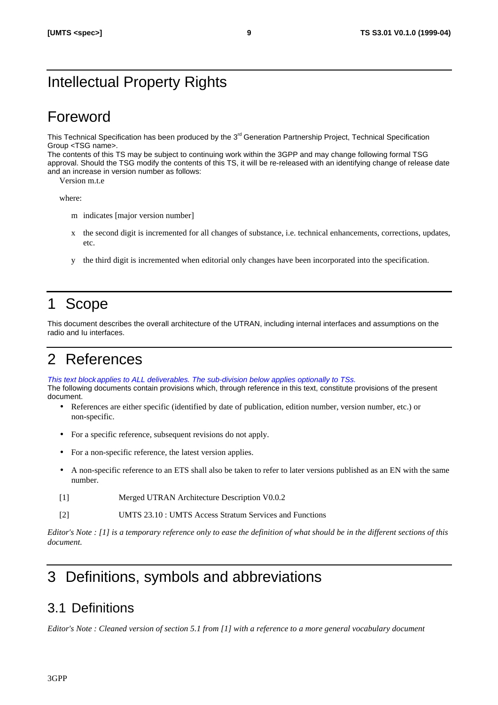# Intellectual Property Rights

# Foreword

This Technical Specification has been produced by the 3<sup>rd</sup> Generation Partnership Project, Technical Specification Group <TSG name>.

The contents of this TS may be subject to continuing work within the 3GPP and may change following formal TSG approval. Should the TSG modify the contents of this TS, it will be re-released with an identifying change of release date and an increase in version number as follows:

Version m.t.e

where:

- m indicates [major version number]
- x the second digit is incremented for all changes of substance, i.e. technical enhancements, corrections, updates, etc.
- y the third digit is incremented when editorial only changes have been incorporated into the specification.

# 1 Scope

This document describes the overall architecture of the UTRAN, including internal interfaces and assumptions on the radio and Iu interfaces.

# 2 References

*This text block applies to ALL deliverables. The sub-division below applies optionally to TSs.* The following documents contain provisions which, through reference in this text, constitute provisions of the present document.

- References are either specific (identified by date of publication, edition number, version number, etc.) or non-specific.
- For a specific reference, subsequent revisions do not apply.
- For a non-specific reference, the latest version applies.
- A non-specific reference to an ETS shall also be taken to refer to later versions published as an EN with the same number.
- [1] Merged UTRAN Architecture Description V0.0.2
- [2] UMTS 23.10 : UMTS Access Stratum Services and Functions

*Editor's Note : [1] is a temporary reference only to ease the definition of what should be in the different sections of this document.*

# 3 Definitions, symbols and abbreviations

# 3.1 Definitions

*Editor's Note : Cleaned version of section 5.1 from [1] with a reference to a more general vocabulary document*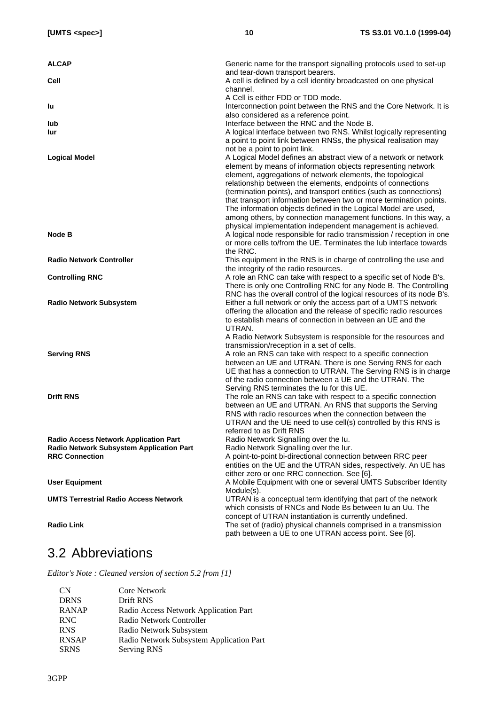| <b>ALCAP</b>                                 | Generic name for the transport signalling protocols used to set-up<br>and tear-down transport bearers.                                          |
|----------------------------------------------|-------------------------------------------------------------------------------------------------------------------------------------------------|
| Cell                                         | A cell is defined by a cell identity broadcasted on one physical<br>channel.                                                                    |
| lu                                           | A Cell is either FDD or TDD mode.<br>Interconnection point between the RNS and the Core Network. It is<br>also considered as a reference point. |
| lub                                          | Interface between the RNC and the Node B.                                                                                                       |
| lur                                          | A logical interface between two RNS. Whilst logically representing                                                                              |
|                                              | a point to point link between RNSs, the physical realisation may                                                                                |
|                                              | not be a point to point link.                                                                                                                   |
| <b>Logical Model</b>                         | A Logical Model defines an abstract view of a network or network                                                                                |
|                                              | element by means of information objects representing network                                                                                    |
|                                              | element, aggregations of network elements, the topological                                                                                      |
|                                              | relationship between the elements, endpoints of connections                                                                                     |
|                                              | (termination points), and transport entities (such as connections)                                                                              |
|                                              | that transport information between two or more termination points.                                                                              |
|                                              | The information objects defined in the Logical Model are used,                                                                                  |
|                                              | among others, by connection management functions. In this way, a                                                                                |
|                                              | physical implementation independent management is achieved.                                                                                     |
| Node B                                       | A logical node responsible for radio transmission / reception in one                                                                            |
|                                              | or more cells to/from the UE. Terminates the lub interface towards                                                                              |
|                                              | the RNC.                                                                                                                                        |
| <b>Radio Network Controller</b>              | This equipment in the RNS is in charge of controlling the use and                                                                               |
|                                              | the integrity of the radio resources.                                                                                                           |
| <b>Controlling RNC</b>                       | A role an RNC can take with respect to a specific set of Node B's.                                                                              |
|                                              | There is only one Controlling RNC for any Node B. The Controlling<br>RNC has the overall control of the logical resources of its node B's.      |
| <b>Radio Network Subsystem</b>               | Either a full network or only the access part of a UMTS network                                                                                 |
|                                              | offering the allocation and the release of specific radio resources                                                                             |
|                                              | to establish means of connection in between an UE and the                                                                                       |
|                                              | UTRAN.                                                                                                                                          |
|                                              | A Radio Network Subsystem is responsible for the resources and                                                                                  |
|                                              | transmission/reception in a set of cells.                                                                                                       |
| <b>Serving RNS</b>                           | A role an RNS can take with respect to a specific connection                                                                                    |
|                                              | between an UE and UTRAN. There is one Serving RNS for each                                                                                      |
|                                              | UE that has a connection to UTRAN. The Serving RNS is in charge                                                                                 |
|                                              | of the radio connection between a UE and the UTRAN. The                                                                                         |
|                                              | Serving RNS terminates the lu for this UE.                                                                                                      |
| <b>Drift RNS</b>                             | The role an RNS can take with respect to a specific connection                                                                                  |
|                                              | between an UE and UTRAN. An RNS that supports the Serving                                                                                       |
|                                              | RNS with radio resources when the connection between the                                                                                        |
|                                              | UTRAN and the UE need to use cell(s) controlled by this RNS is<br>referred to as Drift RNS                                                      |
| <b>Radio Access Network Application Part</b> | Radio Network Signalling over the lu.                                                                                                           |
| Radio Network Subsystem Application Part     | Radio Network Signalling over the lur.                                                                                                          |
| <b>RRC Connection</b>                        | A point-to-point bi-directional connection between RRC peer                                                                                     |
|                                              | entities on the UE and the UTRAN sides, respectively. An UE has                                                                                 |
|                                              | either zero or one RRC connection. See [6].                                                                                                     |
| <b>User Equipment</b>                        | A Mobile Equipment with one or several UMTS Subscriber Identity                                                                                 |
|                                              | Module(s).                                                                                                                                      |
| <b>UMTS Terrestrial Radio Access Network</b> | UTRAN is a conceptual term identifying that part of the network                                                                                 |
|                                              | which consists of RNCs and Node Bs between Iu an Uu. The                                                                                        |
|                                              | concept of UTRAN instantiation is currently undefined.                                                                                          |
| <b>Radio Link</b>                            | The set of (radio) physical channels comprised in a transmission                                                                                |
|                                              | path between a UE to one UTRAN access point. See [6].                                                                                           |

# 3.2 Abbreviations

*Editor's Note : Cleaned version of section 5.2 from [1]*

| <b>CN</b>    | Core Network                             |
|--------------|------------------------------------------|
| <b>DRNS</b>  | Drift RNS                                |
| <b>RANAP</b> | Radio Access Network Application Part    |
| <b>RNC</b>   | Radio Network Controller                 |
| <b>RNS</b>   | Radio Network Subsystem                  |
| <b>RNSAP</b> | Radio Network Subsystem Application Part |
| <b>SRNS</b>  | Serving RNS                              |
|              |                                          |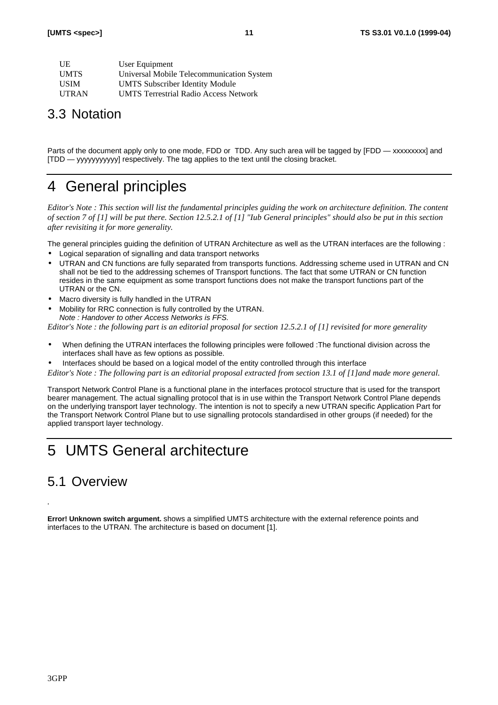| - UE         | User Equipment                               |
|--------------|----------------------------------------------|
| <b>UMTS</b>  | Universal Mobile Telecommunication System    |
| <b>USIM</b>  | <b>UMTS Subscriber Identity Module</b>       |
| <b>UTRAN</b> | <b>UMTS Terrestrial Radio Access Network</b> |

# 3.3 Notation

Parts of the document apply only to one mode, FDD or TDD. Any such area will be tagged by [FDD — xxxxxxxxx] and [TDD — yyyyyyyyyyy] respectively. The tag applies to the text until the closing bracket.

# 4 General principles

*Editor's Note : This section will list the fundamental principles guiding the work on architecture definition. The content of section 7 of [1] will be put there. Section 12.5.2.1 of [1] "Iub General principles" should also be put in this section after revisiting it for more generality.*

The general principles guiding the definition of UTRAN Architecture as well as the UTRAN interfaces are the following :

- Logical separation of signalling and data transport networks
- UTRAN and CN functions are fully separated from transports functions. Addressing scheme used in UTRAN and CN shall not be tied to the addressing schemes of Transport functions. The fact that some UTRAN or CN function resides in the same equipment as some transport functions does not make the transport functions part of the UTRAN or the CN.
- Macro diversity is fully handled in the UTRAN
- Mobility for RRC connection is fully controlled by the UTRAN. *Note : Handover to other Access Networks is FFS.*

*Editor's Note : the following part is an editorial proposal for section 12.5.2.1 of [1] revisited for more generality*

- When defining the UTRAN interfaces the following principles were followed :The functional division across the interfaces shall have as few options as possible.
- Interfaces should be based on a logical model of the entity controlled through this interface

*Editor's Note : The following part is an editorial proposal extracted from section 13.1 of [1]and made more general.*

Transport Network Control Plane is a functional plane in the interfaces protocol structure that is used for the transport bearer management. The actual signalling protocol that is in use within the Transport Network Control Plane depends on the underlying transport layer technology. The intention is not to specify a new UTRAN specific Application Part for the Transport Network Control Plane but to use signalling protocols standardised in other groups (if needed) for the applied transport layer technology.

# 5 UMTS General architecture

# 5.1 Overview

*.*

**Error! Unknown switch argument.** shows a simplified UMTS architecture with the external reference points and interfaces to the UTRAN. The architecture is based on document [1].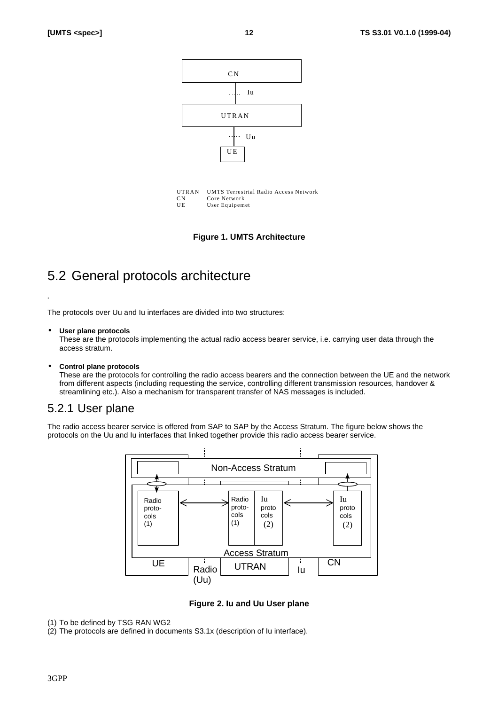

**Figure 1. UMTS Architecture**

# 5.2 General protocols architecture

The protocols over Uu and Iu interfaces are divided into two structures:

#### • **User plane protocols**

*.*

These are the protocols implementing the actual radio access bearer service, i.e. carrying user data through the access stratum.

#### • **Control plane protocols**

These are the protocols for controlling the radio access bearers and the connection between the UE and the network from different aspects (including requesting the service, controlling different transmission resources, handover & streamlining etc.). Also a mechanism for transparent transfer of NAS messages is included.

### 5.2.1 User plane

The radio access bearer service is offered from SAP to SAP by the Access Stratum. The figure below shows the protocols on the Uu and Iu interfaces that linked together provide this radio access bearer service.



**Figure 2. Iu and Uu User plane**

(1) To be defined by TSG RAN WG2

(2) The protocols are defined in documents S3.1x (description of Iu interface).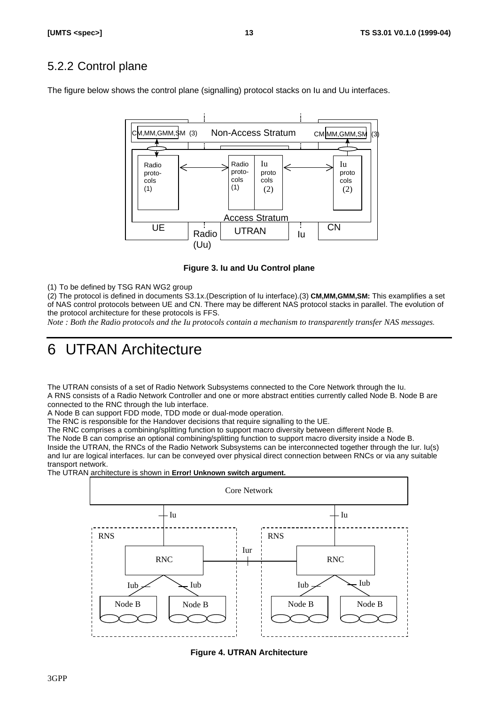# 5.2.2 Control plane

The figure below shows the control plane (signalling) protocol stacks on Iu and Uu interfaces.



**Figure 3. Iu and Uu Control plane**

(1) To be defined by TSG RAN WG2 group

(2) The protocol is defined in documents S3.1x.(Description of Iu interface).(3) **CM,MM,GMM,SM:** This examplifies a set of NAS control protocols between UE and CN. There may be different NAS protocol stacks in parallel. The evolution of the protocol architecture for these protocols is FFS.

*Note : Both the Radio protocols and the Iu protocols contain a mechanism to transparently transfer NAS messages.*

# 6 UTRAN Architecture

The UTRAN consists of a set of Radio Network Subsystems connected to the Core Network through the Iu. A RNS consists of a Radio Network Controller and one or more abstract entities currently called Node B. Node B are connected to the RNC through the Iub interface.

A Node B can support FDD mode, TDD mode or dual-mode operation.

The RNC is responsible for the Handover decisions that require signalling to the UE.

The RNC comprises a combining/splitting function to support macro diversity between different Node B.

The Node B can comprise an optional combining/splitting function to support macro diversity inside a Node B. Inside the UTRAN, the RNCs of the Radio Network Subsystems can be interconnected together through the Iur. Iu(s) and Iur are logical interfaces. Iur can be conveyed over physical direct connection between RNCs or via any suitable transport network.

The UTRAN architecture is shown in **Error! Unknown switch argument.**



**Figure 4. UTRAN Architecture**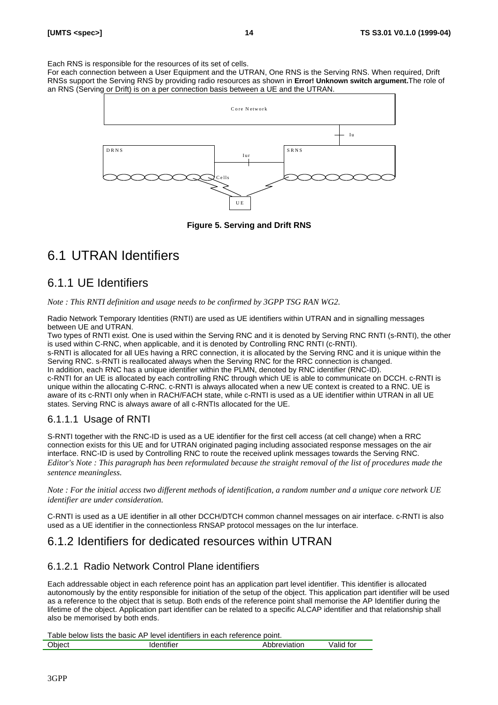Each RNS is responsible for the resources of its set of cells.

For each connection between a User Equipment and the UTRAN, One RNS is the Serving RNS. When required, Drift RNSs support the Serving RNS by providing radio resources as shown in **Error! Unknown switch argument.**The role of an RNS (Serving or Drift) is on a per connection basis between a UE and the UTRAN.





# 6.1 UTRAN Identifiers

## 6.1.1 UE Identifiers

*Note : This RNTI definition and usage needs to be confirmed by 3GPP TSG RAN WG2.*

Radio Network Temporary Identities (RNTI) are used as UE identifiers within UTRAN and in signalling messages between UE and UTRAN.

Two types of RNTI exist. One is used within the Serving RNC and it is denoted by Serving RNC RNTI (s-RNTI), the other is used within C-RNC, when applicable, and it is denoted by Controlling RNC RNTI (c-RNTI).

s-RNTI is allocated for all UEs having a RRC connection, it is allocated by the Serving RNC and it is unique within the Serving RNC. s-RNTI is reallocated always when the Serving RNC for the RRC connection is changed. In addition, each RNC has a unique identifier within the PLMN, denoted by RNC identifier (RNC-ID).

c-RNTI for an UE is allocated by each controlling RNC through which UE is able to communicate on DCCH. c-RNTI is unique within the allocating C-RNC. c-RNTI is always allocated when a new UE context is created to a RNC. UE is aware of its c-RNTI only when in RACH/FACH state, while c-RNTI is used as a UE identifier within UTRAN in all UE states. Serving RNC is always aware of all c-RNTIs allocated for the UE.

### 6.1.1.1 Usage of RNTI

S-RNTI together with the RNC-ID is used as a UE identifier for the first cell access (at cell change) when a RRC connection exists for this UE and for UTRAN originated paging including associated response messages on the air interface. RNC-ID is used by Controlling RNC to route the received uplink messages towards the Serving RNC. *Editor's Note : This paragraph has been reformulated because the straight removal of the list of procedures made the sentence meaningless.*

*Note : For the initial access two different methods of identification, a random number and a unique core network UE identifier are under consideration.*

C-RNTI is used as a UE identifier in all other DCCH/DTCH common channel messages on air interface. c-RNTI is also used as a UE identifier in the connectionless RNSAP protocol messages on the Iur interface.

## 6.1.2 Identifiers for dedicated resources within UTRAN

### 6.1.2.1 Radio Network Control Plane identifiers

Each addressable object in each reference point has an application part level identifier. This identifier is allocated autonomously by the entity responsible for initiation of the setup of the object. This application part identifier will be used as a reference to the object that is setup. Both ends of the reference point shall memorise the AP Identifier during the lifetime of the object. Application part identifier can be related to a specific ALCAP identifier and that relationship shall also be memorised by both ends.

Table below lists the basic AP level identifiers in each reference point.

| <b>Ohiect</b> | . | י ישווי.<br>. <del>.</del> | $+ - -$<br>، ب<br>. |
|---------------|---|----------------------------|---------------------|
|               |   |                            |                     |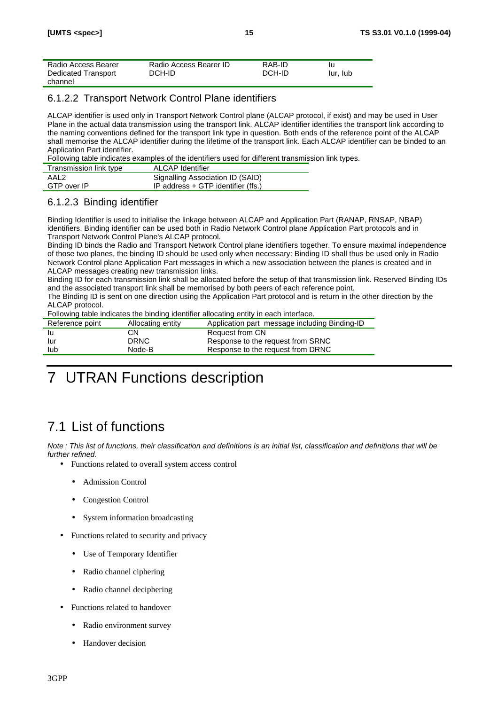### 6.1.2.2 Transport Network Control Plane identifiers

ALCAP identifier is used only in Transport Network Control plane (ALCAP protocol, if exist) and may be used in User Plane in the actual data transmission using the transport link. ALCAP identifier identifies the transport link according to the naming conventions defined for the transport link type in question. Both ends of the reference point of the ALCAP shall memorise the ALCAP identifier during the lifetime of the transport link. Each ALCAP identifier can be binded to an Application Part identifier.

Following table indicates examples of the identifiers used for different transmission link types.

| Transmission link type | ALCAP Identifier                     |
|------------------------|--------------------------------------|
| AAL2                   | Signalling Association ID (SAID)     |
| GTP over IP            | IP address $+$ GTP identifier (ffs.) |

### 6.1.2.3 Binding identifier

Binding Identifier is used to initialise the linkage between ALCAP and Application Part (RANAP, RNSAP, NBAP) identifiers. Binding identifier can be used both in Radio Network Control plane Application Part protocols and in Transport Network Control Plane's ALCAP protocol.

Binding ID binds the Radio and Transport Network Control plane identifiers together. To ensure maximal independence of those two planes, the binding ID should be used only when necessary: Binding ID shall thus be used only in Radio Network Control plane Application Part messages in which a new association between the planes is created and in ALCAP messages creating new transmission links.

Binding ID for each transmission link shall be allocated before the setup of that transmission link. Reserved Binding IDs and the associated transport link shall be memorised by both peers of each reference point.

The Binding ID is sent on one direction using the Application Part protocol and is return in the other direction by the ALCAP protocol.

Following table indicates the binding identifier allocating entity in each interface.

| Reference point | Allocating entity | Application part message including Binding-ID |
|-----------------|-------------------|-----------------------------------------------|
|                 | CΝ                | Request from CN                               |
| lur             | <b>DRNC</b>       | Response to the request from SRNC             |
| lub             | Node-B            | Response to the request from DRNC             |

# 7 UTRAN Functions description

# 7.1 List of functions

*Note : This list of functions, their classification and definitions is an initial list, classification and definitions that will be further refined.*

- Functions related to overall system access control
	- Admission Control
	- Congestion Control
	- System information broadcasting
- Functions related to security and privacy
	- Use of Temporary Identifier
	- Radio channel ciphering
	- Radio channel deciphering
- Functions related to handover
	- Radio environment survey
	- Handover decision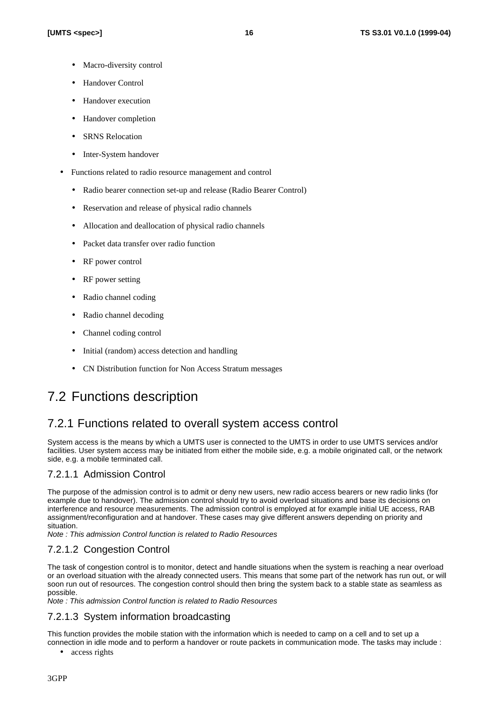- Macro-diversity control
- Handover Control
- Handover execution
- Handover completion
- **SRNS Relocation**
- Inter-System handover
- Functions related to radio resource management and control
	- Radio bearer connection set-up and release (Radio Bearer Control)
	- Reservation and release of physical radio channels
	- Allocation and deallocation of physical radio channels
	- Packet data transfer over radio function
	- RF power control
	- RF power setting
	- Radio channel coding
	- Radio channel decoding
	- Channel coding control
	- Initial (random) access detection and handling
	- CN Distribution function for Non Access Stratum messages

# 7.2 Functions description

### 7.2.1 Functions related to overall system access control

System access is the means by which a UMTS user is connected to the UMTS in order to use UMTS services and/or facilities. User system access may be initiated from either the mobile side, e.g. a mobile originated call, or the network side, e.g. a mobile terminated call.

### 7.2.1.1 Admission Control

The purpose of the admission control is to admit or deny new users, new radio access bearers or new radio links (for example due to handover). The admission control should try to avoid overload situations and base its decisions on interference and resource measurements. The admission control is employed at for example initial UE access, RAB assignment/reconfiguration and at handover. These cases may give different answers depending on priority and situation.

*Note : This admission Control function is related to Radio Resources*

### 7.2.1.2 Congestion Control

The task of congestion control is to monitor, detect and handle situations when the system is reaching a near overload or an overload situation with the already connected users. This means that some part of the network has run out, or will soon run out of resources. The congestion control should then bring the system back to a stable state as seamless as possible.

*Note : This admission Control function is related to Radio Resources*

### 7.2.1.3 System information broadcasting

This function provides the mobile station with the information which is needed to camp on a cell and to set up a connection in idle mode and to perform a handover or route packets in communication mode. The tasks may include :

access rights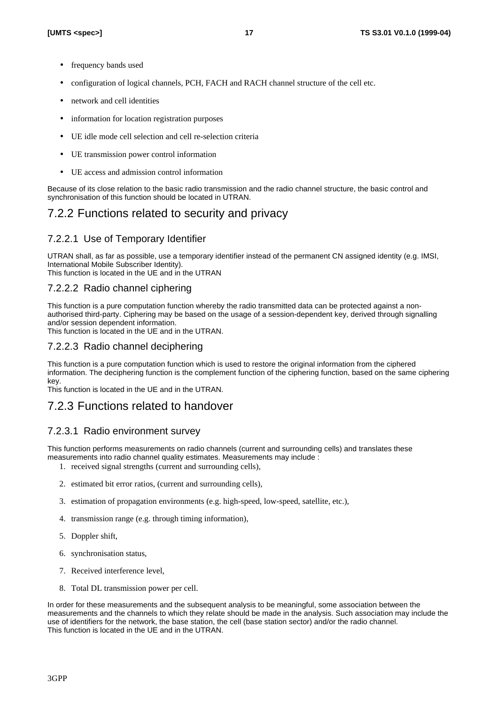- frequency bands used
- configuration of logical channels, PCH, FACH and RACH channel structure of the cell etc.
- network and cell identities
- information for location registration purposes
- UE idle mode cell selection and cell re-selection criteria
- UE transmission power control information
- UE access and admission control information

Because of its close relation to the basic radio transmission and the radio channel structure, the basic control and synchronisation of this function should be located in UTRAN.

# 7.2.2 Functions related to security and privacy

### 7.2.2.1 Use of Temporary Identifier

UTRAN shall, as far as possible, use a temporary identifier instead of the permanent CN assigned identity (e.g. IMSI, International Mobile Subscriber Identity).

This function is located in the UE and in the UTRAN

### 7.2.2.2 Radio channel ciphering

This function is a pure computation function whereby the radio transmitted data can be protected against a nonauthorised third-party. Ciphering may be based on the usage of a session-dependent key, derived through signalling and/or session dependent information.

This function is located in the UE and in the UTRAN.

### 7.2.2.3 Radio channel deciphering

This function is a pure computation function which is used to restore the original information from the ciphered information. The deciphering function is the complement function of the ciphering function, based on the same ciphering key.

This function is located in the UE and in the UTRAN.

## 7.2.3 Functions related to handover

### 7.2.3.1 Radio environment survey

This function performs measurements on radio channels (current and surrounding cells) and translates these measurements into radio channel quality estimates. Measurements may include :

- 1. received signal strengths (current and surrounding cells),
- 2. estimated bit error ratios, (current and surrounding cells),
- 3. estimation of propagation environments (e.g. high-speed, low-speed, satellite, etc.),
- 4. transmission range (e.g. through timing information),
- 5. Doppler shift,
- 6. synchronisation status,
- 7. Received interference level,
- 8. Total DL transmission power per cell.

In order for these measurements and the subsequent analysis to be meaningful, some association between the measurements and the channels to which they relate should be made in the analysis. Such association may include the use of identifiers for the network, the base station, the cell (base station sector) and/or the radio channel. This function is located in the UE and in the UTRAN.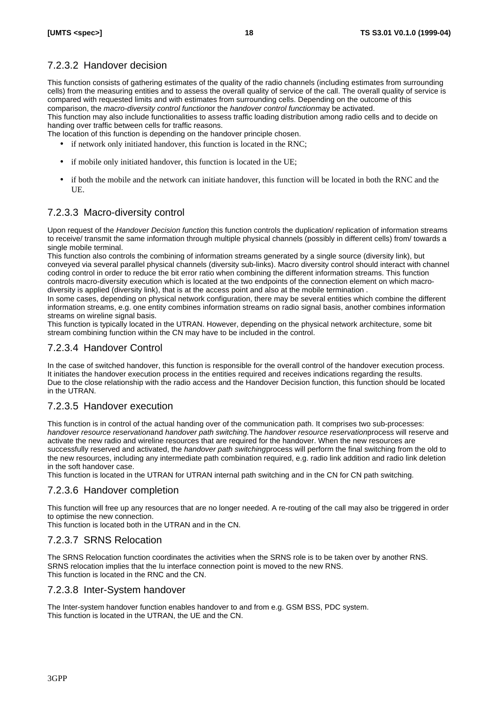### 7.2.3.2 Handover decision

This function consists of gathering estimates of the quality of the radio channels (including estimates from surrounding cells) from the measuring entities and to assess the overall quality of service of the call. The overall quality of service is compared with requested limits and with estimates from surrounding cells. Depending on the outcome of this comparison, the *macro-diversity control functionor* the *handover control functionmav* be activated.

This function may also include functionalities to assess traffic loading distribution among radio cells and to decide on handing over traffic between cells for traffic reasons.

The location of this function is depending on the handover principle chosen.

- if network only initiated handover, this function is located in the RNC;
- if mobile only initiated handover, this function is located in the UE;
- if both the mobile and the network can initiate handover, this function will be located in both the RNC and the UE.

### 7.2.3.3 Macro-diversity control

Upon request of the *Handover Decision function*, this function controls the duplication/ replication of information streams to receive/ transmit the same information through multiple physical channels (possibly in different cells) from/ towards a single mobile terminal.

This function also controls the combining of information streams generated by a single source (diversity link), but conveyed via several parallel physical channels (diversity sub-links). Macro diversity control should interact with channel coding control in order to reduce the bit error ratio when combining the different information streams. This function controls macro-diversity execution which is located at the two endpoints of the connection element on which macrodiversity is applied (diversity link), that is at the access point and also at the mobile termination .

In some cases, depending on physical network configuration, there may be several entities which combine the different information streams, e.g. one entity combines information streams on radio signal basis, another combines information streams on wireline signal basis.

This function is typically located in the UTRAN. However, depending on the physical network architecture, some bit stream combining function within the CN may have to be included in the control.

### 7.2.3.4 Handover Control

In the case of switched handover, this function is responsible for the overall control of the handover execution process. It initiates the handover execution process in the entities required and receives indications regarding the results. Due to the close relationship with the radio access and the Handover Decision function, this function should be located in the UTRAN.

### 7.2.3.5 Handover execution

This function is in control of the actual handing over of the communication path. It comprises two sub-processes: *handover resource reservation* and *handover path switching.* The *handover resource reservation* process will reserve and activate the new radio and wireline resources that are required for the handover. When the new resources are successfully reserved and activated, the *handover path switching* process will perform the final switching from the old to the new resources, including any intermediate path combination required, e.g. radio link addition and radio link deletion in the soft handover case.

This function is located in the UTRAN for UTRAN internal path switching and in the CN for CN path switching.

#### 7.2.3.6 Handover completion

This function will free up any resources that are no longer needed. A re-routing of the call may also be triggered in order to optimise the new connection.

This function is located both in the UTRAN and in the CN.

### 7.2.3.7 SRNS Relocation

The SRNS Relocation function coordinates the activities when the SRNS role is to be taken over by another RNS. SRNS relocation implies that the Iu interface connection point is moved to the new RNS. This function is located in the RNC and the CN.

#### 7.2.3.8 Inter-System handover

The Inter-system handover function enables handover to and from e.g. GSM BSS, PDC system. This function is located in the UTRAN, the UE and the CN.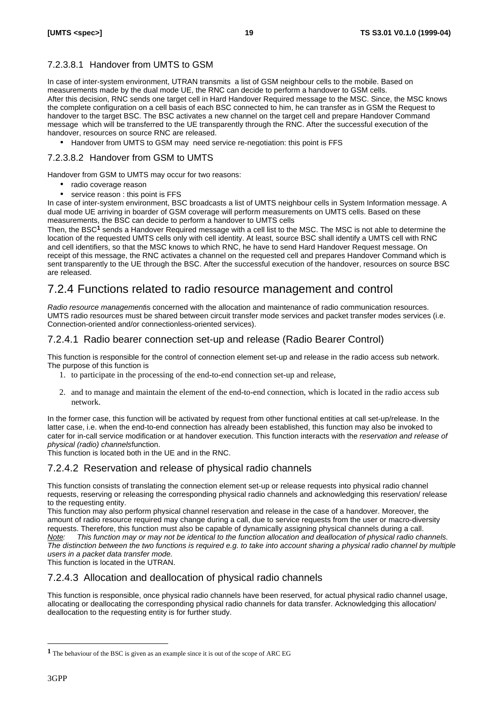### 7.2.3.8.1 Handover from UMTS to GSM

In case of inter-system environment, UTRAN transmits a list of GSM neighbour cells to the mobile. Based on measurements made by the dual mode UE, the RNC can decide to perform a handover to GSM cells. After this decision, RNC sends one target cell in Hard Handover Required message to the MSC. Since, the MSC knows the complete configuration on a cell basis of each BSC connected to him, he can transfer as in GSM the Request to handover to the target BSC. The BSC activates a new channel on the target cell and prepare Handover Command message which will be transferred to the UE transparently through the RNC. After the successful execution of the handover, resources on source RNC are released.

• Handover from UMTS to GSM may need service re-negotiation: this point is FFS

#### 7.2.3.8.2 Handover from GSM to UMTS

Handover from GSM to UMTS may occur for two reasons:

- radio coverage reason
- service reason : this point is FFS

In case of inter-system environment, BSC broadcasts a list of UMTS neighbour cells in System Information message. A dual mode UE arriving in boarder of GSM coverage will perform measurements on UMTS cells. Based on these measurements, the BSC can decide to perform a handover to UMTS cells

Then, the BSC<sup>1</sup> sends a Handover Required message with a cell list to the MSC. The MSC is not able to determine the location of the requested UMTS cells only with cell identity. At least, source BSC shall identify a UMTS cell with RNC and cell identifiers, so that the MSC knows to which RNC, he have to send Hard Handover Request message. On receipt of this message, the RNC activates a channel on the requested cell and prepares Handover Command which is sent transparently to the UE through the BSC. After the successful execution of the handover, resources on source BSC are released.

## 7.2.4 Functions related to radio resource management and control

*Radio resource management*is concerned with the allocation and maintenance of radio communication resources. UMTS radio resources must be shared between circuit transfer mode services and packet transfer modes services (i.e. Connection-oriented and/or connectionless-oriented services).

### 7.2.4.1 Radio bearer connection set-up and release (Radio Bearer Control)

This function is responsible for the control of connection element set-up and release in the radio access sub network. The purpose of this function is

- 1. to participate in the processing of the end-to-end connection set-up and release,
- 2. and to manage and maintain the element of the end-to-end connection, which is located in the radio access sub network.

In the former case, this function will be activated by request from other functional entities at call set-up/release. In the latter case, i.e. when the end-to-end connection has already been established, this function may also be invoked to cater for in-call service modification or at handover execution. This function interacts with the *reservation and release of physical (radio) channels* function.

This function is located both in the UE and in the RNC.

#### 7.2.4.2 Reservation and release of physical radio channels

This function consists of translating the connection element set-up or release requests into physical radio channel requests, reserving or releasing the corresponding physical radio channels and acknowledging this reservation/ release to the requesting entity.

This function may also perform physical channel reservation and release in the case of a handover. Moreover, the amount of radio resource required may change during a call, due to service requests from the user or macro-diversity requests. Therefore, this function must also be capable of dynamically assigning physical channels during a call. *Note: This function may or may not be identical to the function allocation and deallocation of physical radio channels. The distinction between the two functions is required e.g. to take into account sharing a physical radio channel by multiple users in a packet data transfer mode.*

This function is located in the UTRAN.

### 7.2.4.3 Allocation and deallocation of physical radio channels

This function is responsible, once physical radio channels have been reserved, for actual physical radio channel usage, allocating or deallocating the corresponding physical radio channels for data transfer. Acknowledging this allocation/ deallocation to the requesting entity is for further study.

l

**<sup>1</sup>** The behaviour of the BSC is given as an example since it is out of the scope of ARC EG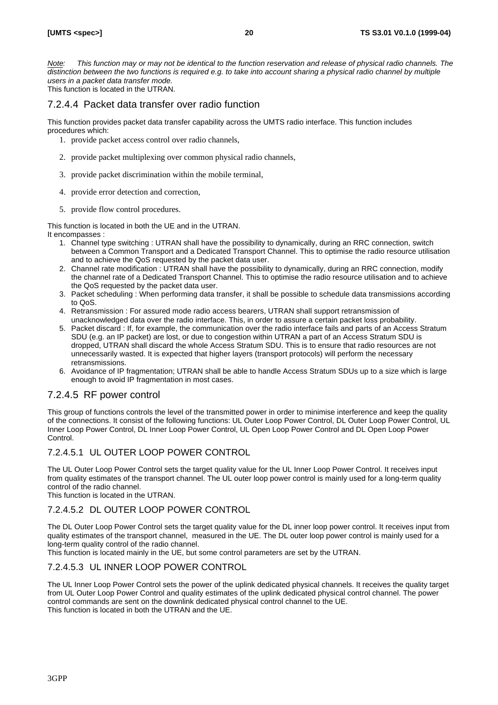*Note: This function may or may not be identical to the function reservation and release of physical radio channels. The distinction between the two functions is required e.g. to take into account sharing a physical radio channel by multiple users in a packet data transfer mode.*

This function is located in the UTRAN.

### 7.2.4.4 Packet data transfer over radio function

This function provides packet data transfer capability across the UMTS radio interface. This function includes procedures which:

- 1. provide packet access control over radio channels,
- 2. provide packet multiplexing over common physical radio channels,
- 3. provide packet discrimination within the mobile terminal,
- 4. provide error detection and correction,
- 5. provide flow control procedures.

This function is located in both the UE and in the UTRAN.

It encompasses :

- 1. Channel type switching : UTRAN shall have the possibility to dynamically, during an RRC connection, switch between a Common Transport and a Dedicated Transport Channel. This to optimise the radio resource utilisation and to achieve the QoS requested by the packet data user.
- 2. Channel rate modification : UTRAN shall have the possibility to dynamically, during an RRC connection, modify the channel rate of a Dedicated Transport Channel. This to optimise the radio resource utilisation and to achieve the QoS requested by the packet data user.
- 3. Packet scheduling : When performing data transfer, it shall be possible to schedule data transmissions according to QoS.
- 4. Retransmission : For assured mode radio access bearers, UTRAN shall support retransmission of unacknowledged data over the radio interface. This, in order to assure a certain packet loss probability.
- 5. Packet discard : If, for example, the communication over the radio interface fails and parts of an Access Stratum SDU (e.g. an IP packet) are lost, or due to congestion within UTRAN a part of an Access Stratum SDU is dropped, UTRAN shall discard the whole Access Stratum SDU. This is to ensure that radio resources are not unnecessarily wasted. It is expected that higher layers (transport protocols) will perform the necessary retransmissions.
- 6. Avoidance of IP fragmentation; UTRAN shall be able to handle Access Stratum SDUs up to a size which is large enough to avoid IP fragmentation in most cases.

### 7.2.4.5 RF power control

This group of functions controls the level of the transmitted power in order to minimise interference and keep the quality of the connections. It consist of the following functions: UL Outer Loop Power Control, DL Outer Loop Power Control, UL Inner Loop Power Control, DL Inner Loop Power Control, UL Open Loop Power Control and DL Open Loop Power Control.

### 7.2.4.5.1 UL OUTER LOOP POWER CONTROL

The UL Outer Loop Power Control sets the target quality value for the UL Inner Loop Power Control. It receives input from quality estimates of the transport channel. The UL outer loop power control is mainly used for a long-term quality control of the radio channel.

This function is located in the UTRAN.

### 7.2.4.5.2 DL OUTER LOOP POWER CONTROL

The DL Outer Loop Power Control sets the target quality value for the DL inner loop power control. It receives input from quality estimates of the transport channel, measured in the UE. The DL outer loop power control is mainly used for a long-term quality control of the radio channel.

This function is located mainly in the UE, but some control parameters are set by the UTRAN.

### 7.2.4.5.3 UL INNER LOOP POWER CONTROL

The UL Inner Loop Power Control sets the power of the uplink dedicated physical channels. It receives the quality target from UL Outer Loop Power Control and quality estimates of the uplink dedicated physical control channel. The power control commands are sent on the downlink dedicated physical control channel to the UE. This function is located in both the UTRAN and the UE.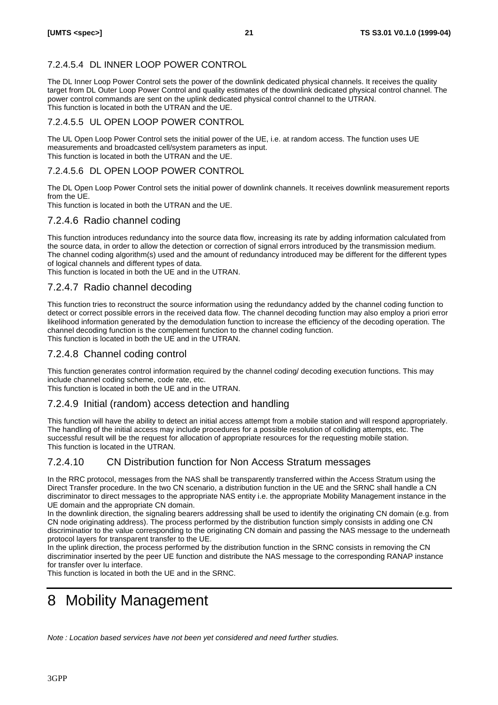### 7.2.4.5.4 DL INNER LOOP POWER CONTROL

The DL Inner Loop Power Control sets the power of the downlink dedicated physical channels. It receives the quality target from DL Outer Loop Power Control and quality estimates of the downlink dedicated physical control channel. The power control commands are sent on the uplink dedicated physical control channel to the UTRAN. This function is located in both the UTRAN and the UE.

### 7.2.4.5.5 UL OPEN LOOP POWER CONTROL

The UL Open Loop Power Control sets the initial power of the UE, i.e. at random access. The function uses UE measurements and broadcasted cell/system parameters as input. This function is located in both the UTRAN and the UE.

### 7.2.4.5.6 DL OPEN LOOP POWER CONTROL

The DL Open Loop Power Control sets the initial power of downlink channels. It receives downlink measurement reports from the UE.

This function is located in both the UTRAN and the UE.

### 7.2.4.6 Radio channel coding

This function introduces redundancy into the source data flow, increasing its rate by adding information calculated from the source data, in order to allow the detection or correction of signal errors introduced by the transmission medium. The channel coding algorithm(s) used and the amount of redundancy introduced may be different for the different types of logical channels and different types of data.

This function is located in both the UE and in the UTRAN.

### 7.2.4.7 Radio channel decoding

This function tries to reconstruct the source information using the redundancy added by the channel coding function to detect or correct possible errors in the received data flow. The channel decoding function may also employ a priori error likelihood information generated by the demodulation function to increase the efficiency of the decoding operation. The channel decoding function is the complement function to the channel coding function. This function is located in both the UE and in the UTRAN.

### 7.2.4.8 Channel coding control

This function generates control information required by the channel coding/ decoding execution functions. This may include channel coding scheme, code rate, etc.

This function is located in both the UE and in the UTRAN.

### 7.2.4.9 Initial (random) access detection and handling

This function will have the ability to detect an initial access attempt from a mobile station and will respond appropriately. The handling of the initial access may include procedures for a possible resolution of colliding attempts, etc. The successful result will be the request for allocation of appropriate resources for the requesting mobile station. This function is located in the UTRAN.

### 7.2.4.10 CN Distribution function for Non Access Stratum messages

In the RRC protocol, messages from the NAS shall be transparently transferred within the Access Stratum using the Direct Transfer procedure. In the two CN scenario, a distribution function in the UE and the SRNC shall handle a CN discriminator to direct messages to the appropriate NAS entity i.e. the appropriate Mobility Management instance in the UE domain and the appropriate CN domain.

In the downlink direction, the signaling bearers addressing shall be used to identify the originating CN domain (e.g. from CN node originating address). The process performed by the distribution function simply consists in adding one CN discriminatior to the value corresponding to the originating CN domain and passing the NAS message to the underneath protocol layers for transparent transfer to the UE.

In the uplink direction, the process performed by the distribution function in the SRNC consists in removing the CN discriminatior inserted by the peer UE function and distribute the NAS message to the corresponding RANAP instance for transfer over Iu interface.

This function is located in both the UE and in the SRNC.

# 8 Mobility Management

*Note : Location based services have not been yet considered and need further studies.*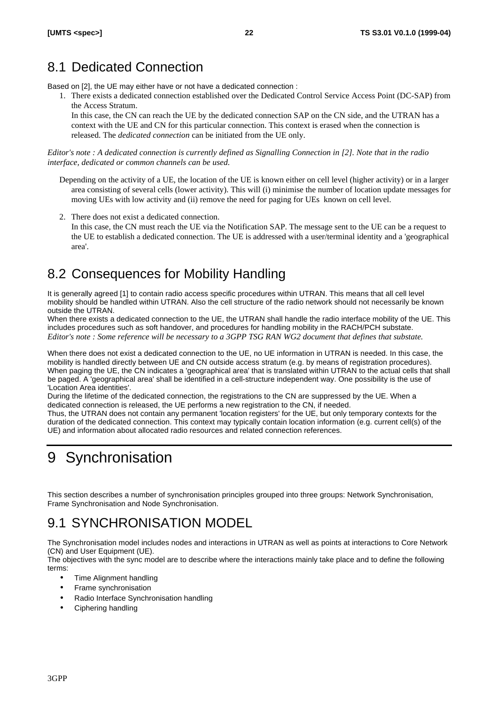# 8.1 Dedicated Connection

Based on [2], the UE may either have or not have a dedicated connection :

1. There exists a dedicated connection established over the Dedicated Control Service Access Point (DC-SAP) from the Access Stratum.

In this case, the CN can reach the UE by the dedicated connection SAP on the CN side, and the UTRAN has a context with the UE and CN for this particular connection. This context is erased when the connection is released. The *dedicated connection* can be initiated from the UE only.

*Editor's note : A dedicated connection is currently defined as Signalling Connection in [2]. Note that in the radio interface, dedicated or common channels can be used.*

- Depending on the activity of a UE, the location of the UE is known either on cell level (higher activity) or in a larger area consisting of several cells (lower activity). This will (i) minimise the number of location update messages for moving UEs with low activity and (ii) remove the need for paging for UEs known on cell level.
- 2. There does not exist a dedicated connection.
	- In this case, the CN must reach the UE via the Notification SAP. The message sent to the UE can be a request to the UE to establish a dedicated connection. The UE is addressed with a user/terminal identity and a 'geographical area'.

# 8.2 Consequences for Mobility Handling

It is generally agreed [1] to contain radio access specific procedures within UTRAN. This means that all cell level mobility should be handled within UTRAN. Also the cell structure of the radio network should not necessarily be known outside the UTRAN.

When there exists a dedicated connection to the UE, the UTRAN shall handle the radio interface mobility of the UE. This includes procedures such as soft handover, and procedures for handling mobility in the RACH/PCH substate. *Editor's note : Some reference will be necessary to a 3GPP TSG RAN WG2 document that defines that substate.*

When there does not exist a dedicated connection to the UE, no UE information in UTRAN is needed. In this case, the mobility is handled directly between UE and CN outside access stratum (e.g. by means of registration procedures). When paging the UE, the CN indicates a 'geographical area' that is translated within UTRAN to the actual cells that shall be paged. A 'geographical area' shall be identified in a cell-structure independent way. One possibility is the use of 'Location Area identities'.

During the lifetime of the dedicated connection, the registrations to the CN are suppressed by the UE. When a dedicated connection is released, the UE performs a new registration to the CN, if needed.

Thus, the UTRAN does not contain any permanent 'location registers' for the UE, but only temporary contexts for the duration of the dedicated connection. This context may typically contain location information (e.g. current cell(s) of the UE) and information about allocated radio resources and related connection references.

# 9 Synchronisation

This section describes a number of synchronisation principles grouped into three groups: Network Synchronisation, Frame Synchronisation and Node Synchronisation.

# 9.1 SYNCHRONISATION MODEL

The Synchronisation model includes nodes and interactions in UTRAN as well as points at interactions to Core Network (CN) and User Equipment (UE).

The objectives with the sync model are to describe where the interactions mainly take place and to define the following terms:

- Time Alignment handling
- Frame synchronisation
- Radio Interface Synchronisation handling
- Ciphering handling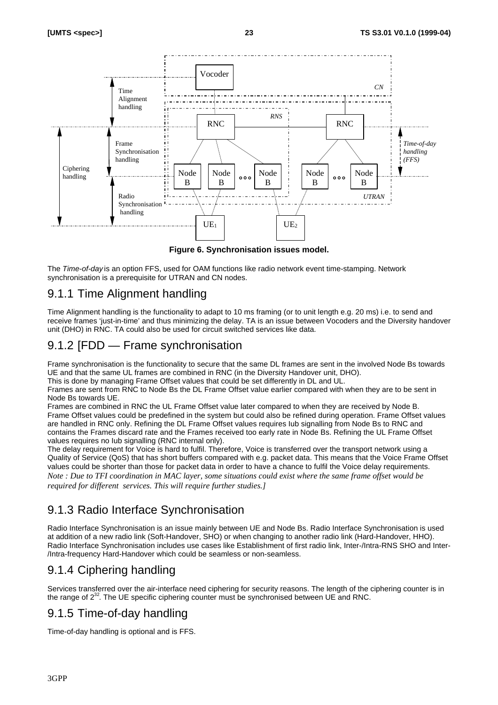

**Figure 6. Synchronisation issues model.**

The *Time-of-day* is an option FFS, used for OAM functions like radio network event time-stamping. Network synchronisation is a prerequisite for UTRAN and CN nodes.

## 9.1.1 Time Alignment handling

Time Alignment handling is the functionality to adapt to 10 ms framing (or to unit length e.g. 20 ms) i.e. to send and receive frames 'just-in-time' and thus minimizing the delay. TA is an issue between Vocoders and the Diversity handover unit (DHO) in RNC. TA could also be used for circuit switched services like data.

# 9.1.2 [FDD — Frame synchronisation

Frame synchronisation is the functionality to secure that the same DL frames are sent in the involved Node Bs towards UE and that the same UL frames are combined in RNC (in the Diversity Handover unit, DHO).

This is done by managing Frame Offset values that could be set differently in DL and UL.

Frames are sent from RNC to Node Bs the DL Frame Offset value earlier compared with when they are to be sent in Node Bs towards UE.

Frames are combined in RNC the UL Frame Offset value later compared to when they are received by Node B. Frame Offset values could be predefined in the system but could also be refined during operation. Frame Offset values are handled in RNC only. Refining the DL Frame Offset values requires Iub signalling from Node Bs to RNC and contains the Frames discard rate and the Frames received too early rate in Node Bs. Refining the UL Frame Offset values requires no Iub signalling (RNC internal only).

The delay requirement for Voice is hard to fulfil. Therefore, Voice is transferred over the transport network using a Quality of Service (QoS) that has short buffers compared with e.g. packet data. This means that the Voice Frame Offset values could be shorter than those for packet data in order to have a chance to fulfil the Voice delay requirements. *Note : Due to TFI coordination in MAC layer, some situations could exist where the same frame offset would be required for different services. This will require further studies.]*

# 9.1.3 Radio Interface Synchronisation

Radio Interface Synchronisation is an issue mainly between UE and Node Bs. Radio Interface Synchronisation is used at addition of a new radio link (Soft-Handover, SHO) or when changing to another radio link (Hard-Handover, HHO). Radio Interface Synchronisation includes use cases like Establishment of first radio link, Inter-/Intra-RNS SHO and Inter- /Intra-frequency Hard-Handover which could be seamless or non-seamless.

# 9.1.4 Ciphering handling

Services transferred over the air-interface need ciphering for security reasons. The length of the ciphering counter is in the range of  $2^{32}$ . The UE specific ciphering counter must be synchronised between UE and RNC.

# 9.1.5 Time-of-day handling

Time-of-day handling is optional and is FFS.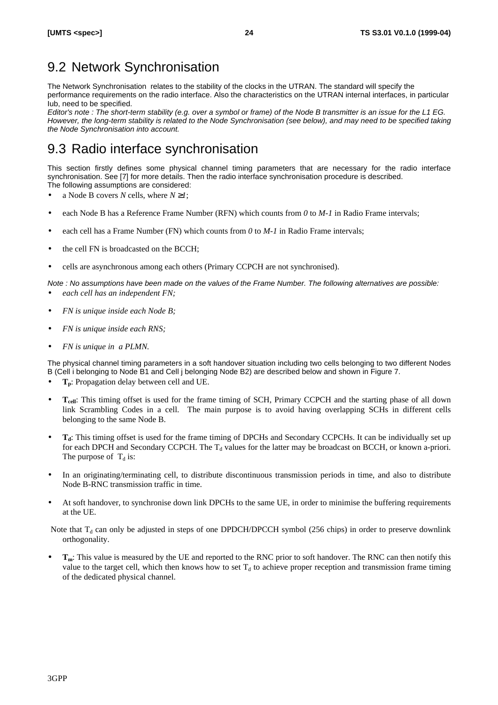# 9.2 Network Synchronisation

The Network Synchronisation relates to the stability of the clocks in the UTRAN. The standard will specify the performance requirements on the radio interface. Also the characteristics on the UTRAN internal interfaces, in particular Iub, need to be specified.

*Editor's note : The short-term stability (e.g. over a symbol or frame) of the Node B transmitter is an issue for the L1 EG. However, the long-term stability is related to the Node Synchronisation (see below), and may need to be specified taking the Node Synchronisation into account.*

# 9.3 Radio interface synchronisation

This section firstly defines some physical channel timing parameters that are necessary for the radio interface synchronisation. See [7] for more details. Then the radio interface synchronisation procedure is described. The following assumptions are considered:

- a Node B covers *N* cells, where *N ³1*;
- each Node B has a Reference Frame Number (RFN) which counts from *0* to *M-1* in Radio Frame intervals;
- each cell has a Frame Number (FN) which counts from 0 to  $M-1$  in Radio Frame intervals;
- the cell FN is broadcasted on the BCCH;
- cells are asynchronous among each others (Primary CCPCH are not synchronised).

*Note : No assumptions have been made on the values of the Frame Number. The following alternatives are possible: · each cell has an independent FN;*

- *· FN is unique inside each Node B;*
- *· FN is unique inside each RNS;*
- *FN is unique in a PLMN.*

The physical channel timing parameters in a soft handover situation including two cells belonging to two different Nodes B (Cell i belonging to Node B1 and Cell j belonging Node B2) are described below and shown in Figure 7.

- **Tp**: Propagation delay between cell and UE.
- **Tcell**: This timing offset is used for the frame timing of SCH, Primary CCPCH and the starting phase of all down link Scrambling Codes in a cell. The main purpose is to avoid having overlapping SCHs in different cells belonging to the same Node B.
- **Td**: This timing offset is used for the frame timing of DPCHs and Secondary CCPCHs. It can be individually set up for each DPCH and Secondary CCPCH. The  $T_d$  values for the latter may be broadcast on BCCH, or known a-priori. The purpose of  $T_d$  is:
- In an originating/terminating cell, to distribute discontinuous transmission periods in time, and also to distribute Node B-RNC transmission traffic in time.
- At soft handover, to synchronise down link DPCHs to the same UE, in order to minimise the buffering requirements at the UE.

Note that  $T_d$  can only be adjusted in steps of one DPDCH/DPCCH symbol (256 chips) in order to preserve downlink orthogonality.

• **Tm**: This value is measured by the UE and reported to the RNC prior to soft handover. The RNC can then notify this value to the target cell, which then knows how to set  $T_d$  to achieve proper reception and transmission frame timing of the dedicated physical channel.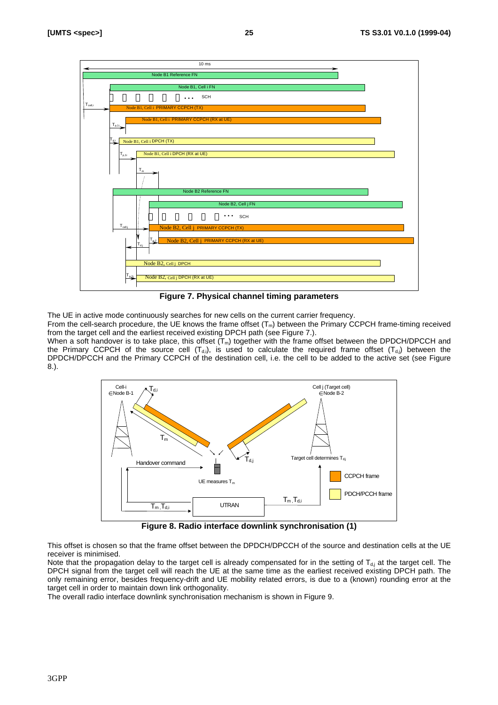

**Figure 7. Physical channel timing parameters**

The UE in active mode continuously searches for new cells on the current carrier frequency.

From the cell-search procedure, the UE knows the frame offset  $(T_m)$  between the Primary CCPCH frame-timing received from the target cell and the earliest received existing DPCH path (see Figure 7.).

When a soft handover is to take place, this offset  $(T_m)$  together with the frame offset between the DPDCH/DPCCH and the Primary CCPCH of the source cell  $(T_{di})$ , is used to calculate the required frame offset  $(T_{di})$  between the DPDCH/DPCCH and the Primary CCPCH of the destination cell, i.e. the cell to be added to the active set (see Figure 8.).



**Figure 8. Radio interface downlink synchronisation (1)**

This offset is chosen so that the frame offset between the DPDCH/DPCCH of the source and destination cells at the UE receiver is minimised.

Note that the propagation delay to the target cell is already compensated for in the setting of  $T_{d,i}$  at the target cell. The DPCH signal from the target cell will reach the UE at the same time as the earliest received existing DPCH path. The only remaining error, besides frequency-drift and UE mobility related errors, is due to a (known) rounding error at the target cell in order to maintain down link orthogonality.

The overall radio interface downlink synchronisation mechanism is shown in Figure 9.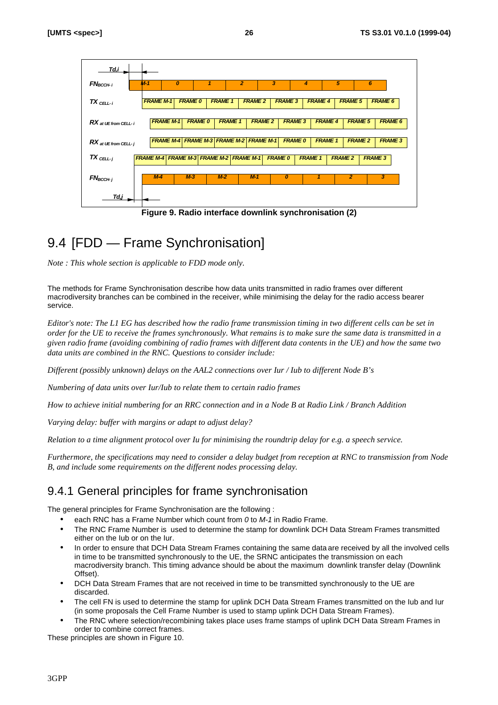

**Figure 9. Radio interface downlink synchronisation (2)**

# 9.4 [FDD — Frame Synchronisation]

*Note : This whole section is applicable to FDD mode only.*

The methods for Frame Synchronisation describe how data units transmitted in radio frames over different macrodiversity branches can be combined in the receiver, while minimising the delay for the radio access bearer service.

*Editor's note: The L1 EG has described how the radio frame transmission timing in two different cells can be set in order for the UE to receive the frames synchronously. What remains is to make sure the same data is transmitted in a given radio frame (avoiding combining of radio frames with different data contents in the UE) and how the same two data units are combined in the RNC. Questions to consider include:*

*Different (possibly unknown) delays on the AAL2 connections over Iur / Iub to different Node B's*

*Numbering of data units over Iur/Iub to relate them to certain radio frames*

*How to achieve initial numbering for an RRC connection and in a Node B at Radio Link / Branch Addition*

*Varying delay: buffer with margins or adapt to adjust delay?*

*Relation to a time alignment protocol over Iu for minimising the roundtrip delay for e.g. a speech service.*

*Furthermore, the specifications may need to consider a delay budget from reception at RNC to transmission from Node B, and include some requirements on the different nodes processing delay.*

# 9.4.1 General principles for frame synchronisation

The general principles for Frame Synchronisation are the following :

- each RNC has a Frame Number which count from *0* to *M-1* in Radio Frame.
- The RNC Frame Number is used to determine the stamp for downlink DCH Data Stream Frames transmitted either on the Iub or on the Iur.
- In order to ensure that DCH Data Stream Frames containing the same data are received by all the involved cells in time to be transmitted synchronously to the UE, the SRNC anticipates the transmission on each macrodiversity branch. This timing advance should be about the maximum downlink transfer delay (Downlink Offset).
- DCH Data Stream Frames that are not received in time to be transmitted synchronously to the UE are discarded.
- The cell FN is used to determine the stamp for uplink DCH Data Stream Frames transmitted on the Iub and Iur (in some proposals the Cell Frame Number is used to stamp uplink DCH Data Stream Frames).
- The RNC where selection/recombining takes place uses frame stamps of uplink DCH Data Stream Frames in order to combine correct frames.

These principles are shown in Figure 10.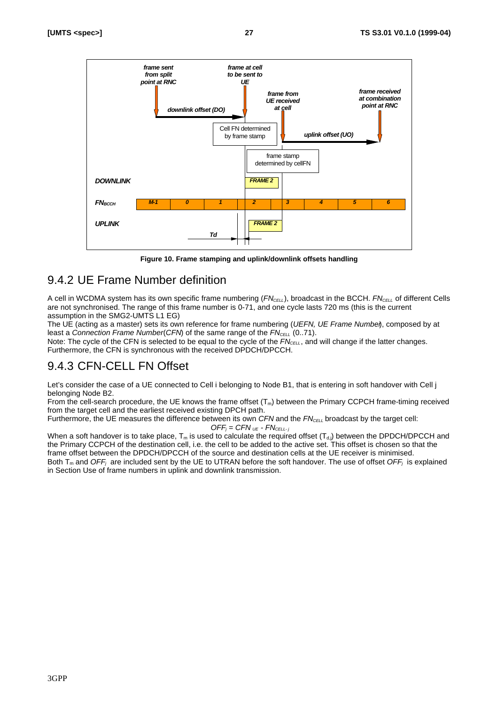

**Figure 10. Frame stamping and uplink/downlink offsets handling**

## 9.4.2 UE Frame Number definition

A cell in WCDMA system has its own specific frame numbering (*FNCELL*), broadcast in the BCCH. *FNCELL* of different Cells are not synchronised. The range of this frame number is 0-71, and one cycle lasts 720 ms (this is the current assumption in the SMG2-UMTS L1 EG)

The UE (acting as a master) sets its own reference for frame numbering (*UEFN, UE Frame Number*), composed by at least a *Connection Frame Number* (*CFN*) of the same range of the  $FN_{\text{CELL}}$  (0..71).

Note: The cycle of the CFN is selected to be equal to the cycle of the  $FN_{\text{CELL}}$ , and will change if the latter changes. Furthermore, the CFN is synchronous with the received DPDCH/DPCCH.

# 9.4.3 CFN-CELL FN Offset

Let's consider the case of a UE connected to Cell i belonging to Node B1, that is entering in soft handover with Cell j belonging Node B2.

From the cell-search procedure, the UE knows the frame offset  $(T_m)$  between the Primary CCPCH frame-timing received from the target cell and the earliest received existing DPCH path.

Furthermore, the UE measures the difference between its own *CFN* and the *FN<sub>CELL</sub>* broadcast by the target cell:  $OFF_i = CFN_{UE} - FN_{CELL-i}$ 

When a soft handover is to take place,  $T_m$  is used to calculate the required offset  $(T_{d,j})$  between the DPDCH/DPCCH and the Primary CCPCH of the destination cell, i.e. the cell to be added to the active set. This offset is chosen so that the frame offset between the DPDCH/DPCCH of the source and destination cells at the UE receiver is minimised. Both  $T_m$  and *OFF<sub>j</sub>* are included sent by the UE to UTRAN before the soft handover. The use of offset *OFF<sub>j</sub>* is explained in Section Use of frame numbers in uplink and downlink transmission.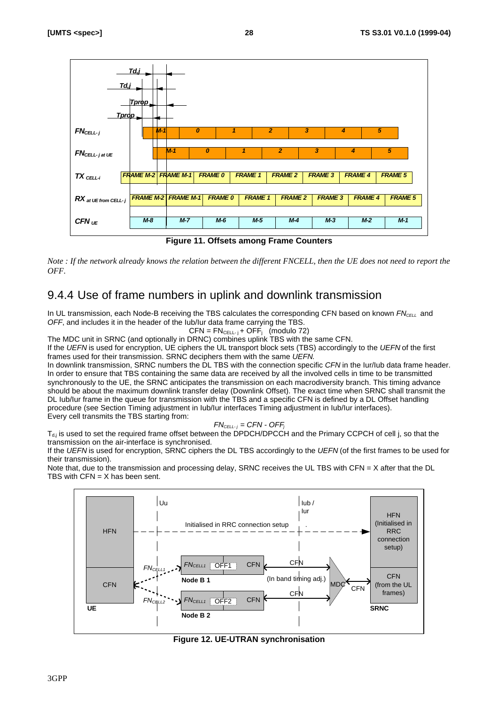

**Figure 11. Offsets among Frame Counters**

*Note : If the network already knows the relation between the different FNCELL, then the UE does not need to report the OFF.*

## 9.4.4 Use of frame numbers in uplink and downlink transmission

In UL transmission, each Node-B receiving the TBS calculates the corresponding CFN based on known *FN<sub>CELL</sub>* and *OFF*, and includes it in the header of the Iub/Iur data frame carrying the TBS.

$$
CFN = FN_{\text{CELL-}j} + OFF_j \text{ (modulo } 72)
$$

The MDC unit in SRNC (and optionally in DRNC) combines uplink TBS with the same CFN.

If the *UEFN* is used for encryption, UE ciphers the UL transport block sets (TBS) accordingly to the *UEFN* of the first frames used for their transmission. SRNC deciphers them with the same *UEFN*.

In downlink transmission, SRNC numbers the DL TBS with the connection specific *CFN* in the Iur/Iub data frame header. In order to ensure that TBS containing the same data are received by all the involved cells in time to be transmitted synchronously to the UE, the SRNC anticipates the transmission on each macrodiversity branch. This timing advance should be about the maximum downlink transfer delay (Downlink Offset). The exact time when SRNC shall transmit the DL Iub/Iur frame in the queue for transmission with the TBS and a specific CFN is defined by a DL Offset handling procedure (see Section Timing adjustment in Iub/Iur interfaces Timing adjustment in Iub/Iur interfaces). Every cell transmits the TBS starting from:

 $FN_{\text{CELL-}i}$  = CFN - OFF<sub>i</sub>

 $T_{di}$  is used to set the required frame offset between the DPDCH/DPCCH and the Primary CCPCH of cell j, so that the transmission on the air-interface is synchronised.

If the *UEFN* is used for encryption, SRNC ciphers the DL TBS accordingly to the *UEFN* (of the first frames to be used for their transmission).

Note that, due to the transmission and processing delay, SRNC receives the UL TBS with CFN =  $X$  after that the DL TBS with  $CFN = X$  has been sent.



**Figure 12. UE-UTRAN synchronisation**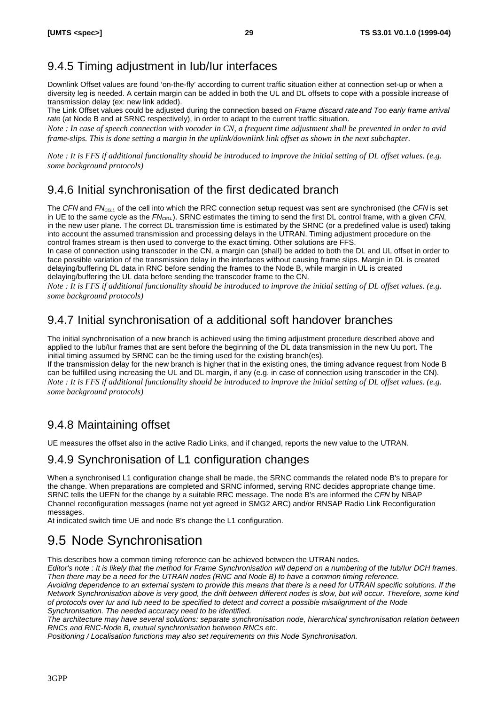# 9.4.5 Timing adjustment in Iub/Iur interfaces

Downlink Offset values are found 'on-the-fly' according to current traffic situation either at connection set-up or when a diversity leg is needed. A certain margin can be added in both the UL and DL offsets to cope with a possible increase of transmission delay (ex: new link added).

The Link Offset values could be adjusted during the connection based on *Frame discard rateand Too early frame arrival rate* (at Node B and at SRNC respectively), in order to adapt to the current traffic situation.

*Note : In case of speech connection with vocoder in CN, a frequent time adjustment shall be prevented in order to avid frame-slips. This is done setting a margin in the uplink/downlink link offset as shown in the next subchapter.*

*Note : It is FFS if additional functionality should be introduced to improve the initial setting of DL offset values. (e.g. some background protocols)*

## 9.4.6 Initial synchronisation of the first dedicated branch

The *CFN* and *FNCELL* of the cell into which the RRC connection setup request was sent are synchronised (the *CFN* is set in UE to the same cycle as the *FNCELL*). SRNC estimates the timing to send the first DL control frame, with a given *CFN*, in the new user plane. The correct DL transmission time is estimated by the SRNC (or a predefined value is used) taking into account the assumed transmission and processing delays in the UTRAN. Timing adjustment procedure on the control frames stream is then used to converge to the exact timing. Other solutions are FFS.

In case of connection using transcoder in the CN, a margin can (shall) be added to both the DL and UL offset in order to face possible variation of the transmission delay in the interfaces without causing frame slips. Margin in DL is created delaying/buffering DL data in RNC before sending the frames to the Node B, while margin in UL is created delaying/buffering the UL data before sending the transcoder frame to the CN.

*Note : It is FFS if additional functionality should be introduced to improve the initial setting of DL offset values. (e.g. some background protocols)*

# 9.4.7 Initial synchronisation of a additional soft handover branches

The initial synchronisation of a new branch is achieved using the timing adjustment procedure described above and applied to the Iub/Iur frames that are sent before the beginning of the DL data transmission in the new Uu port. The initial timing assumed by SRNC can be the timing used for the existing branch(es).

If the transmission delay for the new branch is higher that in the existing ones, the timing advance request from Node B can be fulfilled using increasing the UL and DL margin, if any (e.g. in case of connection using transcoder in the CN). *Note : It is FFS if additional functionality should be introduced to improve the initial setting of DL offset values. (e.g. some background protocols)*

## 9.4.8 Maintaining offset

UE measures the offset also in the active Radio Links, and if changed, reports the new value to the UTRAN.

## 9.4.9 Synchronisation of L1 configuration changes

When a synchronised L1 configuration change shall be made, the SRNC commands the related node B's to prepare for the change. When preparations are completed and SRNC informed, serving RNC decides appropriate change time. SRNC tells the UEFN for the change by a suitable RRC message. The node B's are informed the *CFN* by NBAP Channel reconfiguration messages (name not yet agreed in SMG2 ARC) and/or RNSAP Radio Link Reconfiguration messages.

At indicated switch time UE and node B's change the L1 configuration.

# 9.5 Node Synchronisation

This describes how a common timing reference can be achieved between the UTRAN nodes.

*Editor's note : It is likely that the method for Frame Synchronisation will depend on a numbering of the Iub/Iur DCH frames. Then there may be a need for the UTRAN nodes (RNC and Node B) to have a common timing reference.*

*Avoiding dependence to an external system to provide this means that there is a need for UTRAN specific solutions. If the Network Synchronisation above is very good, the drift between different nodes is slow, but will occur. Therefore, some kind of protocols over Iur and Iub need to be specified to detect and correct a possible misalignment of the Node Synchronisation. The needed accuracy need to be identified.*

*The architecture may have several solutions: separate synchronisation node, hierarchical synchronisation relation between RNCs and RNC-Node B, mutual synchronisation between RNCs etc.*

*Positioning / Localisation functions may also set requirements on this Node Synchronisation.*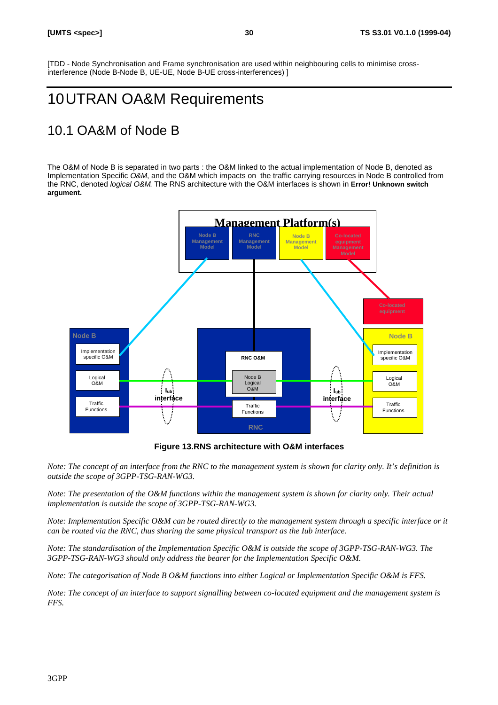[TDD - Node Synchronisation and Frame synchronisation are used within neighbouring cells to minimise crossinterference (Node B-Node B, UE-UE, Node B-UE cross-interferences) ]

# 10UTRAN OA&M Requirements

# 10.1 OA&M of Node B

The O&M of Node B is separated in two parts : the O&M linked to the actual implementation of Node B, denoted as Implementation Specific *O&M*, and the O&M which impacts on the traffic carrying resources in Node B controlled from the RNC, denoted *logical O&M*. The RNS architecture with the O&M interfaces is shown in **Error! Unknown switch argument.**



**Figure 13.RNS architecture with O&M interfaces**

*Note: The concept of an interface from the RNC to the management system is shown for clarity only. It's definition is outside the scope of 3GPP-TSG-RAN-WG3.*

*Note: The presentation of the O&M functions within the management system is shown for clarity only. Their actual implementation is outside the scope of 3GPP-TSG-RAN-WG3.*

*Note: Implementation Specific O&M can be routed directly to the management system through a specific interface or it can be routed via the RNC, thus sharing the same physical transport as the Iub interface.*

*Note: The standardisation of the Implementation Specific O&M is outside the scope of 3GPP-TSG-RAN-WG3. The 3GPP-TSG-RAN-WG3 should only address the bearer for the Implementation Specific O&M.*

*Note: The categorisation of Node B O&M functions into either Logical or Implementation Specific O&M is FFS.*

*Note: The concept of an interface to support signalling between co-located equipment and the management system is FFS.*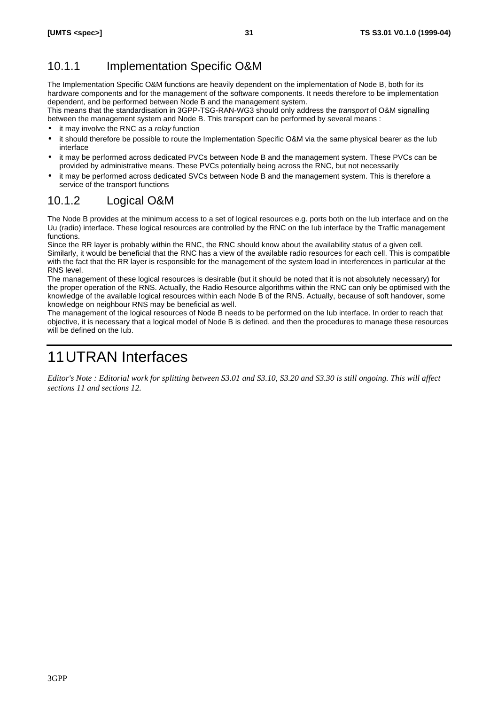# 10.1.1 Implementation Specific O&M

The Implementation Specific O&M functions are heavily dependent on the implementation of Node B, both for its hardware components and for the management of the software components. It needs therefore to be implementation dependent, and be performed between Node B and the management system.

This means that the standardisation in 3GPP-TSG-RAN-WG3 should only address the *transport* of O&M signalling between the management system and Node B. This transport can be performed by several means :

- it may involve the RNC as a *relay* function
- it should therefore be possible to route the Implementation Specific O&M via the same physical bearer as the Iub interface
- it may be performed across dedicated PVCs between Node B and the management system. These PVCs can be provided by administrative means. These PVCs potentially being across the RNC, but not necessarily
- it may be performed across dedicated SVCs between Node B and the management system. This is therefore a service of the transport functions

# 10.1.2 Logical O&M

The Node B provides at the minimum access to a set of logical resources e.g. ports both on the Iub interface and on the Uu (radio) interface. These logical resources are controlled by the RNC on the Iub interface by the Traffic management functions.

Since the RR layer is probably within the RNC, the RNC should know about the availability status of a given cell. Similarly, it would be beneficial that the RNC has a view of the available radio resources for each cell. This is compatible with the fact that the RR layer is responsible for the management of the system load in interferences in particular at the RNS level.

The management of these logical resources is desirable (but it should be noted that it is not absolutely necessary) for the proper operation of the RNS. Actually, the Radio Resource algorithms within the RNC can only be optimised with the knowledge of the available logical resources within each Node B of the RNS. Actually, because of soft handover, some knowledge on neighbour RNS may be beneficial as well.

The management of the logical resources of Node B needs to be performed on the Iub interface. In order to reach that objective, it is necessary that a logical model of Node B is defined, and then the procedures to manage these resources will be defined on the Iub.

# 11UTRAN Interfaces

*Editor's Note : Editorial work for splitting between S3.01 and S3.10, S3.20 and S3.30 is still ongoing. This will affect sections 11 and sections 12.*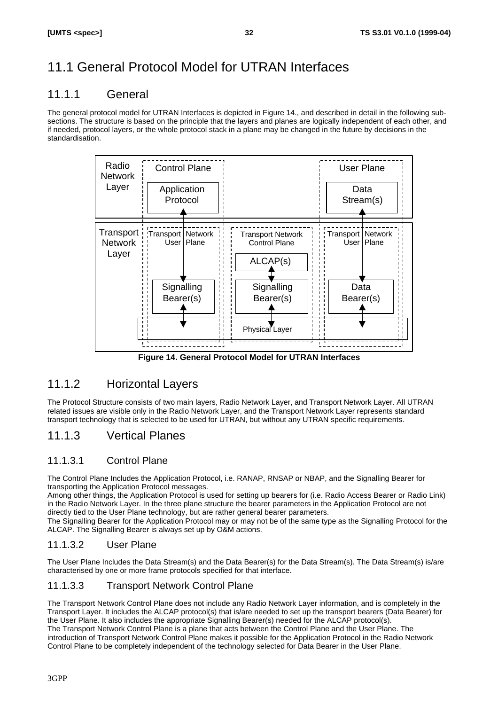# 11.1 General Protocol Model for UTRAN Interfaces

## 11.1.1 General

The general protocol model for UTRAN Interfaces is depicted in Figure 14., and described in detail in the following subsections. The structure is based on the principle that the layers and planes are logically independent of each other, and if needed, protocol layers, or the whole protocol stack in a plane may be changed in the future by decisions in the standardisation.



**Figure 14. General Protocol Model for UTRAN Interfaces**

# 11.1.2 Horizontal Layers

The Protocol Structure consists of two main layers, Radio Network Layer, and Transport Network Layer. All UTRAN related issues are visible only in the Radio Network Layer, and the Transport Network Layer represents standard transport technology that is selected to be used for UTRAN, but without any UTRAN specific requirements.

# 11.1.3 Vertical Planes

### 11.1.3.1 Control Plane

The Control Plane Includes the Application Protocol, i.e. RANAP, RNSAP or NBAP, and the Signalling Bearer for transporting the Application Protocol messages.

Among other things, the Application Protocol is used for setting up bearers for (i.e. Radio Access Bearer or Radio Link) in the Radio Network Layer. In the three plane structure the bearer parameters in the Application Protocol are not directly tied to the User Plane technology, but are rather general bearer parameters.

The Signalling Bearer for the Application Protocol may or may not be of the same type as the Signalling Protocol for the ALCAP. The Signalling Bearer is always set up by O&M actions.

### 11.1.3.2 User Plane

The User Plane Includes the Data Stream(s) and the Data Bearer(s) for the Data Stream(s). The Data Stream(s) is/are characterised by one or more frame protocols specified for that interface.

### 11.1.3.3 Transport Network Control Plane

The Transport Network Control Plane does not include any Radio Network Layer information, and is completely in the Transport Layer. It includes the ALCAP protocol(s) that is/are needed to set up the transport bearers (Data Bearer) for the User Plane. It also includes the appropriate Signalling Bearer(s) needed for the ALCAP protocol(s). The Transport Network Control Plane is a plane that acts between the Control Plane and the User Plane. The introduction of Transport Network Control Plane makes it possible for the Application Protocol in the Radio Network Control Plane to be completely independent of the technology selected for Data Bearer in the User Plane.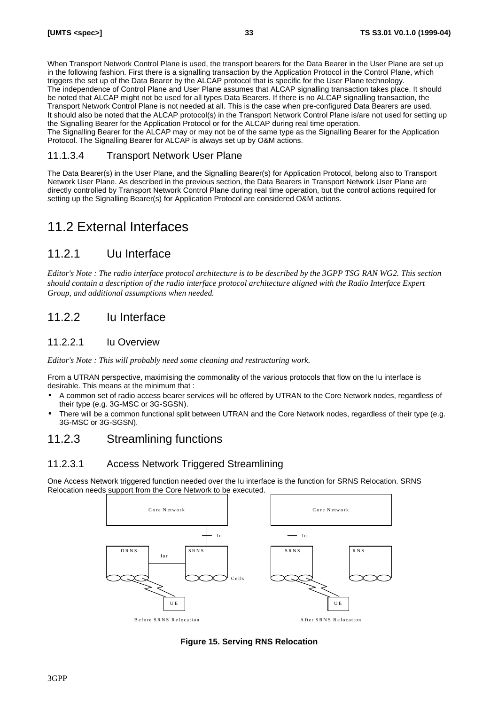When Transport Network Control Plane is used, the transport bearers for the Data Bearer in the User Plane are set up in the following fashion. First there is a signalling transaction by the Application Protocol in the Control Plane, which triggers the set up of the Data Bearer by the ALCAP protocol that is specific for the User Plane technology. The independence of Control Plane and User Plane assumes that ALCAP signalling transaction takes place. It should be noted that ALCAP might not be used for all types Data Bearers. If there is no ALCAP signalling transaction, the Transport Network Control Plane is not needed at all. This is the case when pre-configured Data Bearers are used. It should also be noted that the ALCAP protocol(s) in the Transport Network Control Plane is/are not used for setting up the Signalling Bearer for the Application Protocol or for the ALCAP during real time operation. The Signalling Bearer for the ALCAP may or may not be of the same type as the Signalling Bearer for the Application Protocol. The Signalling Bearer for ALCAP is always set up by O&M actions.

11.1.3.4 Transport Network User Plane

The Data Bearer(s) in the User Plane, and the Signalling Bearer(s) for Application Protocol, belong also to Transport Network User Plane. As described in the previous section, the Data Bearers in Transport Network User Plane are directly controlled by Transport Network Control Plane during real time operation, but the control actions required for setting up the Signalling Bearer(s) for Application Protocol are considered O&M actions.

# 11.2 External Interfaces

## 11.2.1 Uu Interface

*Editor's Note : The radio interface protocol architecture is to be described by the 3GPP TSG RAN WG2. This section should contain a description of the radio interface protocol architecture aligned with the Radio Interface Expert Group, and additional assumptions when needed.*

## 11.2.2 Iu Interface

### 11.2.2.1 Iu Overview

*Editor's Note : This will probably need some cleaning and restructuring work.*

From a UTRAN perspective, maximising the commonality of the various protocols that flow on the Iu interface is desirable. This means at the minimum that :

- *·* A common set of radio access bearer services will be offered by UTRAN to the Core Network nodes, regardless of their type (e.g. 3G-MSC or 3G-SGSN).
- There will be a common functional split between UTRAN and the Core Network nodes, regardless of their type (e.g. 3G-MSC or 3G-SGSN).

## 11.2.3 Streamlining functions

### 11.2.3.1 Access Network Triggered Streamlining

One Access Network triggered function needed over the Iu interface is the function for SRNS Relocation. SRNS Relocation needs support from the Core Network to be executed.



**Figure 15. Serving RNS Relocation**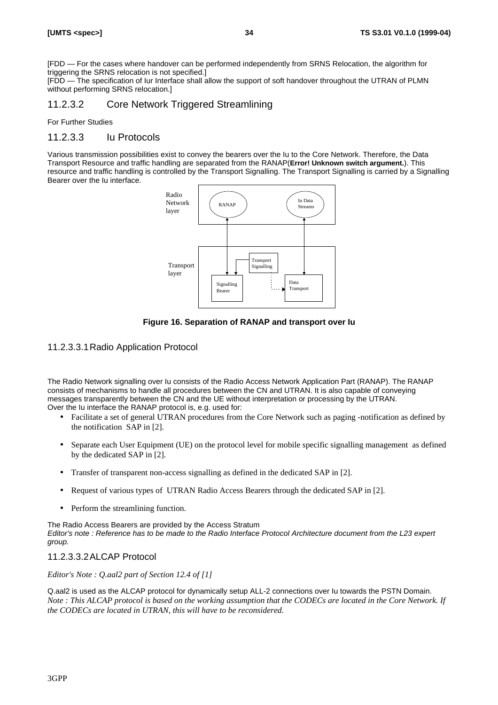[FDD — For the cases where handover can be performed independently from SRNS Relocation, the algorithm for triggering the SRNS relocation is not specified.]

[FDD — The specification of Iur Interface shall allow the support of soft handover throughout the UTRAN of PLMN without performing SRNS relocation.

### 11.2.3.2 Core Network Triggered Streamlining

For Further Studies

#### 11.2.3.3 Iu Protocols

Various transmission possibilities exist to convey the bearers over the Iu to the Core Network. Therefore, the Data Transport Resource and traffic handling are separated from the RANAP(**Error! Unknown switch argument.**). This resource and traffic handling is controlled by the Transport Signalling. The Transport Signalling is carried by a Signalling Bearer over the Iu interface.



#### **Figure 16. Separation of RANAP and transport over Iu**

#### 11.2.3.3.1Radio Application Protocol

The Radio Network signalling over Iu consists of the Radio Access Network Application Part (RANAP). The RANAP consists of mechanisms to handle all procedures between the CN and UTRAN. It is also capable of conveying messages transparently between the CN and the UE without interpretation or processing by the UTRAN. Over the Iu interface the RANAP protocol is, e.g. used for:

- Facilitate a set of general UTRAN procedures from the Core Network such as paging -notification as defined by the notification SAP in [2].
- Separate each User Equipment (UE) on the protocol level for mobile specific signalling management as defined by the dedicated SAP in [2].
- Transfer of transparent non-access signalling as defined in the dedicated SAP in [2].
- Request of various types of UTRAN Radio Access Bearers through the dedicated SAP in [2].
- Perform the streamlining function.

The Radio Access Bearers are provided by the Access Stratum *Editor's note : Reference has to be made to the Radio Interface Protocol Architecture document from the L23 expert group.*

#### 11.2.3.3.2ALCAP Protocol

*Editor's Note : Q.aal2 part of Section 12.4 of [1]*

Q.aal2 is used as the ALCAP protocol for dynamically setup ALL-2 connections over Iu towards the PSTN Domain. *Note : This ALCAP protocol is based on the working assumption that the CODECs are located in the Core Network. If the CODECs are located in UTRAN, this will have to be reconsidered.*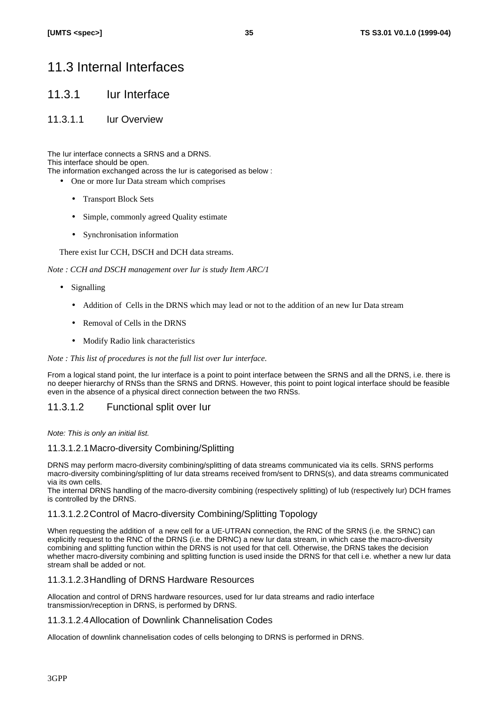# 11.3 Internal Interfaces

### 11.3.1 Iur Interface

### 11.3.1.1 Iur Overview

The Iur interface connects a SRNS and a DRNS. This interface should be open. The information exchanged across the Iur is categorised as below :

- One or more Iur Data stream which comprises
	- Transport Block Sets
	- Simple, commonly agreed Quality estimate
	- Synchronisation information

There exist Iur CCH, DSCH and DCH data streams.

*Note : CCH and DSCH management over Iur is study Item ARC/1*

- Signalling
	- Addition of Cells in the DRNS which may lead or not to the addition of an new Iur Data stream
	- Removal of Cells in the DRNS
	- Modify Radio link characteristics

#### *Note : This list of procedures is not the full list over Iur interface.*

From a logical stand point, the Iur interface is a point to point interface between the SRNS and all the DRNS, i.e. there is no deeper hierarchy of RNSs than the SRNS and DRNS. However, this point to point logical interface should be feasible even in the absence of a physical direct connection between the two RNSs.

### 11.3.1.2 Functional split over Iur

*Note: This is only an initial list.*

#### 11.3.1.2.1Macro-diversity Combining/Splitting

DRNS may perform macro-diversity combining/splitting of data streams communicated via its cells. SRNS performs macro-diversity combining/splitting of Iur data streams received from/sent to DRNS(s), and data streams communicated via its own cells.

The internal DRNS handling of the macro-diversity combining (respectively splitting) of Iub (respectively Iur) DCH frames is controlled by the DRNS.

#### 11.3.1.2.2Control of Macro-diversity Combining/Splitting Topology

When requesting the addition of a new cell for a UE-UTRAN connection, the RNC of the SRNS (i.e. the SRNC) can explicitly request to the RNC of the DRNS (i.e. the DRNC) a new Iur data stream, in which case the macro-diversity combining and splitting function within the DRNS is not used for that cell. Otherwise, the DRNS takes the decision whether macro-diversity combining and splitting function is used inside the DRNS for that cell i.e. whether a new Iur data stream shall be added or not.

#### 11.3.1.2.3Handling of DRNS Hardware Resources

Allocation and control of DRNS hardware resources, used for Iur data streams and radio interface transmission/reception in DRNS, is performed by DRNS.

#### 11.3.1.2.4Allocation of Downlink Channelisation Codes

Allocation of downlink channelisation codes of cells belonging to DRNS is performed in DRNS.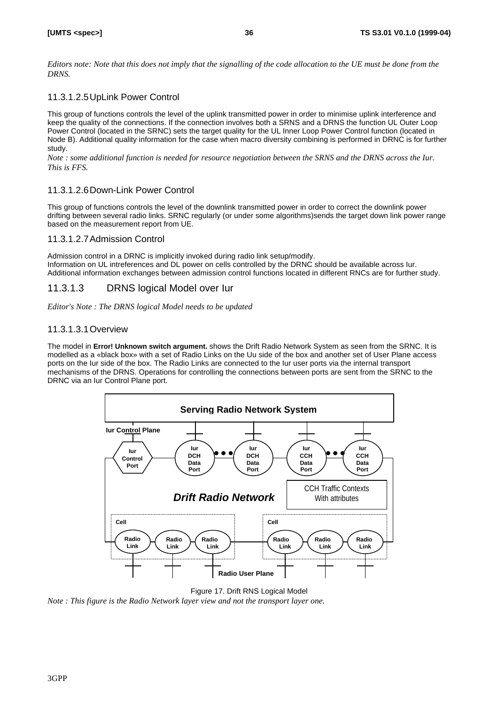*Editors note: Note that this does not imply that the signalling of the code allocation to the UE must be done from the DRNS.*

### 11.3.1.2.5UpLink Power Control

This group of functions controls the level of the uplink transmitted power in order to minimise uplink interference and keep the quality of the connections. If the connection involves both a SRNS and a DRNS the function UL Outer Loop Power Control (located in the SRNC) sets the target quality for the UL Inner Loop Power Control function (located in Node B). Additional quality information for the case when macro diversity combining is performed in DRNC is for further study.

*Note : some additional function is needed for resource negotiation between the SRNS and the DRNS across the Iur. This is FFS.*

### 11.3.1.2.6Down-Link Power Control

This group of functions controls the level of the downlink transmitted power in order to correct the downlink power drifting between several radio links. SRNC regularly (or under some algorithms)sends the target down link power range based on the measurement report from UE.

#### 11.3.1.2.7Admission Control

Admission control in a DRNC is implicitly invoked during radio link setup/modify. Information on UL intreferences and DL power on cells controlled by the DRNC should be available across Iur. Additional information exchanges between admission control functions located in different RNCs are for further study.

### 11.3.1.3 DRNS logical Model over Iur

*Editor's Note : The DRNS logical Model needs to be updated*

### 11.3.1.3.1Overview

The model in **Error! Unknown switch argument.** shows the Drift Radio Network System as seen from the SRNC. It is modelled as a «black box» with a set of Radio Links on the Uu side of the box and another set of User Plane access ports on the Iur side of the box. The Radio Links are connected to the Iur user ports via the internal transport mechanisms of the DRNS. Operations for controlling the connections between ports are sent from the SRNC to the DRNC via an Iur Control Plane port.



Figure 17. Drift RNS Logical Model

*Note : This figure is the Radio Network layer view and not the transport layer one.*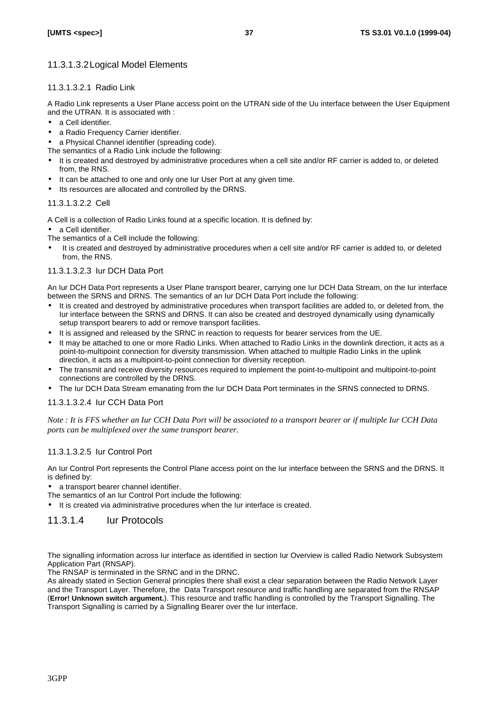### 11.3.1.3.2Logical Model Elements

#### 11.3.1.3.2.1 Radio Link

A Radio Link represents a User Plane access point on the UTRAN side of the Uu interface between the User Equipment and the UTRAN. It is associated with :

- a Cell identifier.
- a Radio Frequency Carrier identifier.
- a Physical Channel identifier (spreading code).

The semantics of a Radio Link include the following:

- It is created and destroyed by administrative procedures when a cell site and/or RF carrier is added to, or deleted from, the RNS.
- It can be attached to one and only one Iur User Port at any given time.
- Its resources are allocated and controlled by the DRNS.

#### 11.3.1.3.2.2 Cell

A Cell is a collection of Radio Links found at a specific location. It is defined by:

• a Cell identifier.

The semantics of a Cell include the following:

It is created and destroyed by administrative procedures when a cell site and/or RF carrier is added to, or deleted from, the RNS.

#### 11.3.1.3.2.3 Iur DCH Data Port

An Iur DCH Data Port represents a User Plane transport bearer, carrying one Iur DCH Data Stream, on the Iur interface between the SRNS and DRNS. The semantics of an Iur DCH Data Port include the following:

- It is created and destroyed by administrative procedures when transport facilities are added to, or deleted from, the Iur interface between the SRNS and DRNS. It can also be created and destroyed dynamically using dynamically setup transport bearers to add or remove transport facilities.
- It is assigned and released by the SRNC in reaction to requests for bearer services from the UE.
- It may be attached to one or more Radio Links. When attached to Radio Links in the downlink direction, it acts as a point-to-multipoint connection for diversity transmission. When attached to multiple Radio Links in the uplink direction, it acts as a multipoint-to-point connection for diversity reception.
- The transmit and receive diversity resources required to implement the point-to-multipoint and multipoint-to-point connections are controlled by the DRNS.
- The Iur DCH Data Stream emanating from the Iur DCH Data Port terminates in the SRNS connected to DRNS.

#### 11.3.1.3.2.4 Iur CCH Data Port

*Note : It is FFS whether an Iur CCH Data Port will be associated to a transport bearer or if multiple Iur CCH Data ports can be multiplexed over the same transport bearer.*

#### 11.3.1.3.2.5 Iur Control Port

An Iur Control Port represents the Control Plane access point on the Iur interface between the SRNS and the DRNS. It is defined by:

• a transport bearer channel identifier.

The semantics of an Iur Control Port include the following:

• It is created via administrative procedures when the Iur interface is created.

### 11.3.1.4 Iur Protocols

The signalling information across Iur interface as identified in section Iur Overview is called Radio Network Subsystem Application Part (RNSAP).

The RNSAP is terminated in the SRNC and in the DRNC.

As already stated in Section General principles there shall exist a clear separation between the Radio Network Layer and the Transport Layer. Therefore, the Data Transport resource and traffic handling are separated from the RNSAP (**Error! Unknown switch argument.**). This resource and traffic handling is controlled by the Transport Signalling. The Transport Signalling is carried by a Signalling Bearer over the Iur interface.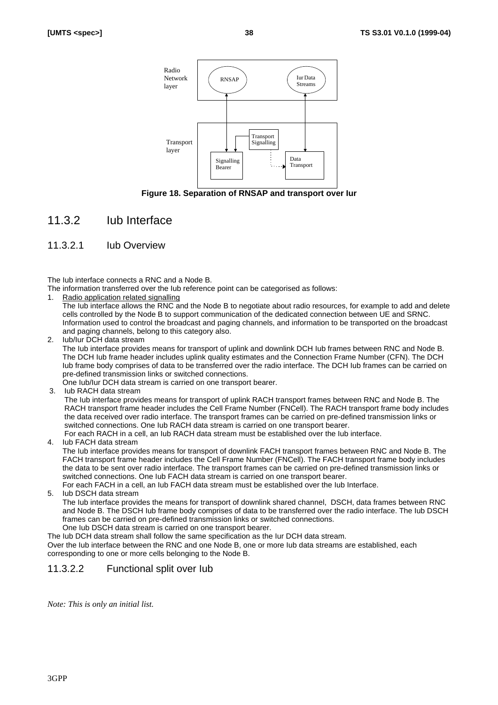

**Figure 18. Separation of RNSAP and transport over Iur**

### 11.3.2 Iub Interface

#### 11.3.2.1 Iub Overview

The Iub interface connects a RNC and a Node B.

The information transferred over the Iub reference point can be categorised as follows:

- 1. Radio application related signalling
- The Iub interface allows the RNC and the Node B to negotiate about radio resources, for example to add and delete cells controlled by the Node B to support communication of the dedicated connection between UE and SRNC. Information used to control the broadcast and paging channels, and information to be transported on the broadcast and paging channels, belong to this category also.
- 2. Iub/Iur DCH data stream

The Iub interface provides means for transport of uplink and downlink DCH Iub frames between RNC and Node B. The DCH Iub frame header includes uplink quality estimates and the Connection Frame Number (CFN). The DCH Iub frame body comprises of data to be transferred over the radio interface. The DCH Iub frames can be carried on pre-defined transmission links or switched connections.

- One Iub/Iur DCH data stream is carried on one transport bearer.
- 3. Iub RACH data stream

The Iub interface provides means for transport of uplink RACH transport frames between RNC and Node B. The RACH transport frame header includes the Cell Frame Number (FNCell). The RACH transport frame body includes the data received over radio interface. The transport frames can be carried on pre-defined transmission links or switched connections. One Iub RACH data stream is carried on one transport bearer. For each RACH in a cell, an Iub RACH data stream must be established over the Iub interface.

4. Iub FACH data stream

The Iub interface provides means for transport of downlink FACH transport frames between RNC and Node B. The FACH transport frame header includes the Cell Frame Number (FNCell). The FACH transport frame body includes the data to be sent over radio interface. The transport frames can be carried on pre-defined transmission links or switched connections. One Iub FACH data stream is carried on one transport bearer.

For each FACH in a cell, an Iub FACH data stream must be established over the Iub Interface.

5. Iub DSCH data stream

The Iub interface provides the means for transport of downlink shared channel, DSCH, data frames between RNC and Node B. The DSCH Iub frame body comprises of data to be transferred over the radio interface. The Iub DSCH frames can be carried on pre-defined transmission links or switched connections.

One Iub DSCH data stream is carried on one transport bearer.

The Iub DCH data stream shall follow the same specification as the Iur DCH data stream. Over the Iub interface between the RNC and one Node B, one or more Iub data streams are established, each corresponding to one or more cells belonging to the Node B.

### 11.3.2.2 Functional split over Iub

*Note: This is only an initial list.*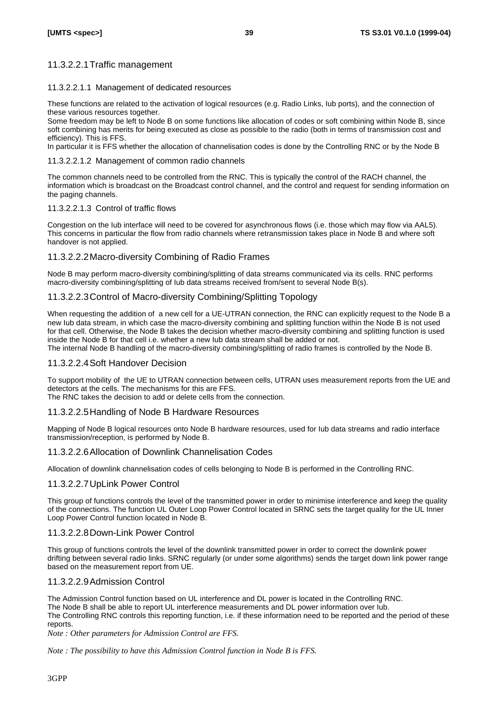### 11.3.2.2.1Traffic management

#### 11.3.2.2.1.1 Management of dedicated resources

These functions are related to the activation of logical resources (e.g. Radio Links, Iub ports), and the connection of these various resources together.

Some freedom may be left to Node B on some functions like allocation of codes or soft combining within Node B, since soft combining has merits for being executed as close as possible to the radio (both in terms of transmission cost and efficiency). This is FFS.

In particular it is FFS whether the allocation of channelisation codes is done by the Controlling RNC or by the Node B

#### 11.3.2.2.1.2 Management of common radio channels

The common channels need to be controlled from the RNC. This is typically the control of the RACH channel, the information which is broadcast on the Broadcast control channel, and the control and request for sending information on the paging channels.

#### 11.3.2.2.1.3 Control of traffic flows

Congestion on the Iub interface will need to be covered for asynchronous flows (i.e. those which may flow via AAL5). This concerns in particular the flow from radio channels where retransmission takes place in Node B and where soft handover is not applied.

### 11.3.2.2.2Macro-diversity Combining of Radio Frames

Node B may perform macro-diversity combining/splitting of data streams communicated via its cells. RNC performs macro-diversity combining/splitting of Iub data streams received from/sent to several Node B(s).

### 11.3.2.2.3Control of Macro-diversity Combining/Splitting Topology

When requesting the addition of a new cell for a UE-UTRAN connection, the RNC can explicitly request to the Node B a new Iub data stream, in which case the macro-diversity combining and splitting function within the Node B is not used for that cell. Otherwise, the Node B takes the decision whether macro-diversity combining and splitting function is used inside the Node B for that cell i.e. whether a new Iub data stream shall be added or not.

The internal Node B handling of the macro-diversity combining/splitting of radio frames is controlled by the Node B.

#### 11.3.2.2.4Soft Handover Decision

To support mobility of the UE to UTRAN connection between cells, UTRAN uses measurement reports from the UE and detectors at the cells. The mechanisms for this are FFS.

The RNC takes the decision to add or delete cells from the connection.

#### 11.3.2.2.5Handling of Node B Hardware Resources

Mapping of Node B logical resources onto Node B hardware resources, used for Iub data streams and radio interface transmission/reception, is performed by Node B.

#### 11.3.2.2.6Allocation of Downlink Channelisation Codes

Allocation of downlink channelisation codes of cells belonging to Node B is performed in the Controlling RNC.

#### 11.3.2.2.7UpLink Power Control

This group of functions controls the level of the transmitted power in order to minimise interference and keep the quality of the connections. The function UL Outer Loop Power Control located in SRNC sets the target quality for the UL Inner Loop Power Control function located in Node B.

#### 11.3.2.2.8Down-Link Power Control

This group of functions controls the level of the downlink transmitted power in order to correct the downlink power drifting between several radio links. SRNC regularly (or under some algorithms) sends the target down link power range based on the measurement report from UE.

#### 11.3.2.2.9Admission Control

The Admission Control function based on UL interference and DL power is located in the Controlling RNC. The Node B shall be able to report UL interference measurements and DL power information over Iub. The Controlling RNC controls this reporting function, i.e. if these information need to be reported and the period of these reports.

*Note : Other parameters for Admission Control are FFS.*

*Note : The possibility to have this Admission Control function in Node B is FFS.*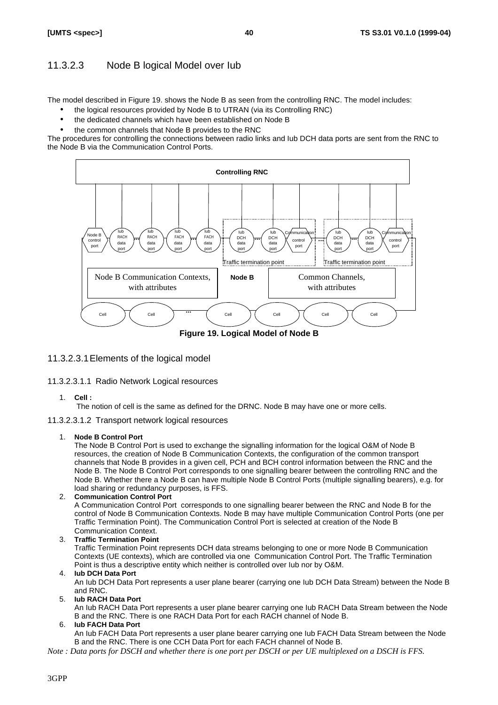### 11.3.2.3 Node B logical Model over Iub

The model described in Figure 19. shows the Node B as seen from the controlling RNC. The model includes:

- the logical resources provided by Node B to UTRAN (via its Controlling RNC)
- the dedicated channels which have been established on Node B
- the common channels that Node B provides to the RNC

The procedures for controlling the connections between radio links and Iub DCH data ports are sent from the RNC to the Node B via the Communication Control Ports.



**Figure 19. Logical Model of Node B**

#### 11.3.2.3.1Elements of the logical model

- 11.3.2.3.1.1 Radio Network Logical resources
	- 1. **Cell :**

The notion of cell is the same as defined for the DRNC. Node B may have one or more cells.

#### 11.3.2.3.1.2 Transport network logical resources

#### 1. **Node B Control Port**

The Node B Control Port is used to exchange the signalling information for the logical O&M of Node B resources, the creation of Node B Communication Contexts, the configuration of the common transport channels that Node B provides in a given cell, PCH and BCH control information between the RNC and the Node B. The Node B Control Port corresponds to one signalling bearer between the controlling RNC and the Node B. Whether there a Node B can have multiple Node B Control Ports (multiple signalling bearers), e.g. for load sharing or redundancy purposes, is FFS.

#### 2. **Communication Control Port**

A Communication Control Port corresponds to one signalling bearer between the RNC and Node B for the control of Node B Communication Contexts. Node B may have multiple Communication Control Ports (one per Traffic Termination Point). The Communication Control Port is selected at creation of the Node B Communication Context.

#### 3. **Traffic Termination Point**

Traffic Termination Point represents DCH data streams belonging to one or more Node B Communication Contexts (UE contexts), which are controlled via one Communication Control Port. The Traffic Termination Point is thus a descriptive entity which neither is controlled over Iub nor by O&M.

#### 4. **Iub DCH Data Port**

An Iub DCH Data Port represents a user plane bearer (carrying one Iub DCH Data Stream) between the Node B and RNC.

5. **Iub RACH Data Port**

An Iub RACH Data Port represents a user plane bearer carrying one Iub RACH Data Stream between the Node B and the RNC. There is one RACH Data Port for each RACH channel of Node B.

#### 6. **Iub FACH Data Port**

An Iub FACH Data Port represents a user plane bearer carrying one Iub FACH Data Stream between the Node B and the RNC. There is one CCH Data Port for each FACH channel of Node B.

*Note : Data ports for DSCH and whether there is one port per DSCH or per UE multiplexed on a DSCH is FFS.*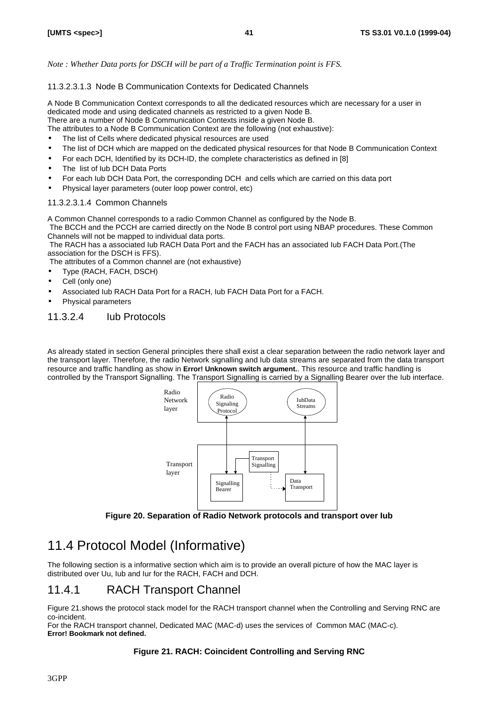*Note : Whether Data ports for DSCH will be part of a Traffic Termination point is FFS.*

### 11.3.2.3.1.3 Node B Communication Contexts for Dedicated Channels

A Node B Communication Context corresponds to all the dedicated resources which are necessary for a user in dedicated mode and using dedicated channels as restricted to a given Node B. There are a number of Node B Communication Contexts inside a given Node B.

The attributes to a Node B Communication Context are the following (not exhaustive):

- The list of Cells where dedicated physical resources are used
- The list of DCH which are mapped on the dedicated physical resources for that Node B Communication Context
- For each DCH, Identified by its DCH-ID, the complete characteristics as defined in [8]
- The list of lub DCH Data Ports
- For each Iub DCH Data Port, the corresponding DCH and cells which are carried on this data port
- Physical layer parameters (outer loop power control, etc)

### 11.3.2.3.1.4 Common Channels

A Common Channel corresponds to a radio Common Channel as configured by the Node B.

 The BCCH and the PCCH are carried directly on the Node B control port using NBAP procedures. These Common Channels will not be mapped to individual data ports.

 The RACH has a associated Iub RACH Data Port and the FACH has an associated Iub FACH Data Port.(The association for the DSCH is FFS).

The attributes of a Common channel are (not exhaustive)

- Type (RACH, FACH, DSCH)
- Cell (only one)
- Associated Iub RACH Data Port for a RACH, Iub FACH Data Port for a FACH.
- Physical parameters

### 11.3.2.4 Iub Protocols

As already stated in section General principles there shall exist a clear separation between the radio network layer and the transport layer. Therefore, the radio Network signalling and Iub data streams are separated from the data transport resource and traffic handling as show in **Error! Unknown switch argument.**. This resource and traffic handling is controlled by the Transport Signalling. The Transport Signalling is carried by a Signalling Bearer over the Iub interface.



**Figure 20. Separation of Radio Network protocols and transport over Iub**

# 11.4 Protocol Model (Informative)

The following section is a informative section which aim is to provide an overall picture of how the MAC layer is distributed over Uu, Iub and Iur for the RACH, FACH and DCH.

# 11.4.1 RACH Transport Channel

Figure 21.shows the protocol stack model for the RACH transport channel when the Controlling and Serving RNC are co-incident.

For the RACH transport channel, Dedicated MAC (MAC-d) uses the services of Common MAC (MAC-c). **Error! Bookmark not defined.**

### **Figure 21. RACH: Coincident Controlling and Serving RNC**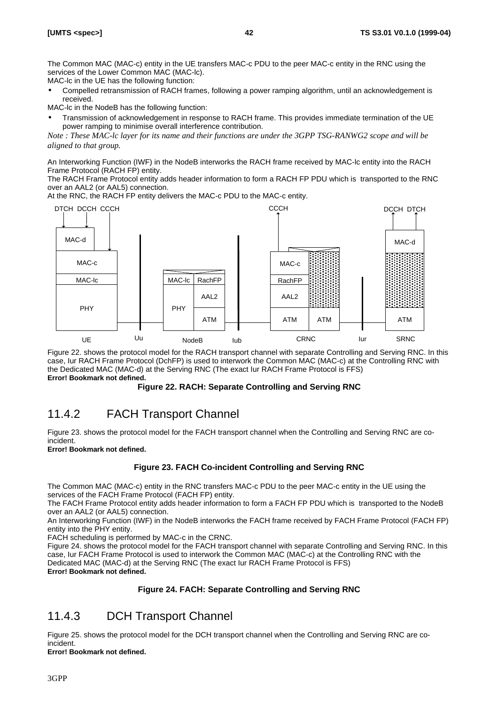The Common MAC (MAC-c) entity in the UE transfers MAC-c PDU to the peer MAC-c entity in the RNC using the services of the Lower Common MAC (MAC-lc).

MAC-lc in the UE has the following function:

• Compelled retransmission of RACH frames, following a power ramping algorithm, until an acknowledgement is received.

MAC-lc in the NodeB has the following function:

• Transmission of acknowledgement in response to RACH frame. This provides immediate termination of the UE power ramping to minimise overall interference contribution.

*Note : These MAC-lc layer for its name and their functions are under the 3GPP TSG-RANWG2 scope and will be aligned to that group.*

An Interworking Function (IWF) in the NodeB interworks the RACH frame received by MAC-lc entity into the RACH Frame Protocol (RACH FP) entity.

The RACH Frame Protocol entity adds header information to form a RACH FP PDU which is transported to the RNC over an AAL2 (or AAL5) connection.

At the RNC, the RACH FP entity delivers the MAC-c PDU to the MAC-c entity.



Figure 22. shows the protocol model for the RACH transport channel with separate Controlling and Serving RNC. In this case, Iur RACH Frame Protocol (DchFP) is used to interwork the Common MAC (MAC-c) at the Controlling RNC with the Dedicated MAC (MAC-d) at the Serving RNC (The exact Iur RACH Frame Protocol is FFS) **Error! Bookmark not defined.**

#### **Figure 22. RACH: Separate Controlling and Serving RNC**

# 11.4.2 FACH Transport Channel

Figure 23. shows the protocol model for the FACH transport channel when the Controlling and Serving RNC are coincident.

**Error! Bookmark not defined.**

#### **Figure 23. FACH Co-incident Controlling and Serving RNC**

The Common MAC (MAC-c) entity in the RNC transfers MAC-c PDU to the peer MAC-c entity in the UE using the services of the FACH Frame Protocol (FACH FP) entity.

The FACH Frame Protocol entity adds header information to form a FACH FP PDU which is transported to the NodeB over an AAL2 (or AAL5) connection.

An Interworking Function (IWF) in the NodeB interworks the FACH frame received by FACH Frame Protocol (FACH FP) entity into the PHY entity.

FACH scheduling is performed by MAC-c in the CRNC.

Figure 24. shows the protocol model for the FACH transport channel with separate Controlling and Serving RNC. In this case, Iur FACH Frame Protocol is used to interwork the Common MAC (MAC-c) at the Controlling RNC with the Dedicated MAC (MAC-d) at the Serving RNC (The exact Iur RACH Frame Protocol is FFS) **Error! Bookmark not defined.**

#### **Figure 24. FACH: Separate Controlling and Serving RNC**

## 11.4.3 DCH Transport Channel

Figure 25. shows the protocol model for the DCH transport channel when the Controlling and Serving RNC are coincident.

**Error! Bookmark not defined.**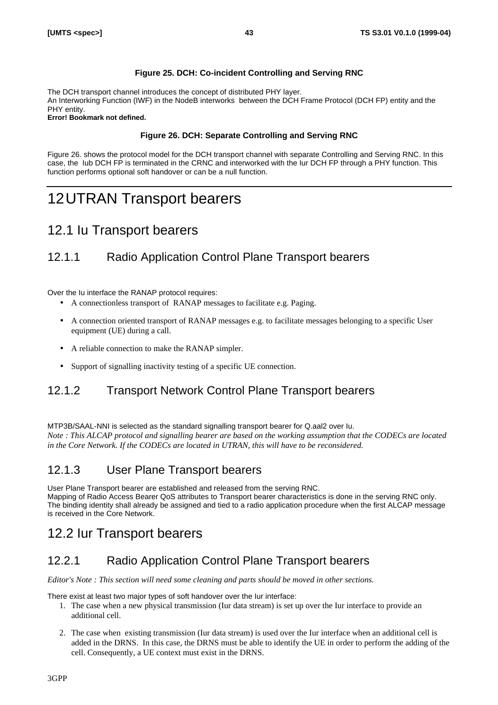### **Figure 25. DCH: Co-incident Controlling and Serving RNC**

The DCH transport channel introduces the concept of distributed PHY layer. An Interworking Function (IWF) in the NodeB interworks between the DCH Frame Protocol (DCH FP) entity and the PHY entity.

**Error! Bookmark not defined.**

### **Figure 26. DCH: Separate Controlling and Serving RNC**

Figure 26. shows the protocol model for the DCH transport channel with separate Controlling and Serving RNC. In this case, the Iub DCH FP is terminated in the CRNC and interworked with the Iur DCH FP through a PHY function. This function performs optional soft handover or can be a null function.

# 12UTRAN Transport bearers

# 12.1 Iu Transport bearers

# 12.1.1 Radio Application Control Plane Transport bearers

Over the Iu interface the RANAP protocol requires:

- A connectionless transport of RANAP messages to facilitate e.g. Paging.
- A connection oriented transport of RANAP messages e.g. to facilitate messages belonging to a specific User equipment (UE) during a call.
- A reliable connection to make the RANAP simpler.
- Support of signalling inactivity testing of a specific UE connection.

# 12.1.2 Transport Network Control Plane Transport bearers

MTP3B/SAAL-NNI is selected as the standard signalling transport bearer for Q.aal2 over Iu. *Note : This ALCAP protocol and signalling bearer are based on the working assumption that the CODECs are located in the Core Network. If the CODECs are located in UTRAN, this will have to be reconsidered.*

## 12.1.3 User Plane Transport bearers

User Plane Transport bearer are established and released from the serving RNC. Mapping of Radio Access Bearer QoS attributes to Transport bearer characteristics is done in the serving RNC only. The binding identity shall already be assigned and tied to a radio application procedure when the first ALCAP message is received in the Core Network.

# 12.2 Iur Transport bearers

# 12.2.1 Radio Application Control Plane Transport bearers

*Editor's Note : This section will need some cleaning and parts should be moved in other sections.*

There exist at least two major types of soft handover over the Iur interface:

- 1. The case when a new physical transmission (Iur data stream) is set up over the Iur interface to provide an additional cell.
- 2. The case when existing transmission (Iur data stream) is used over the Iur interface when an additional cell is added in the DRNS. In this case, the DRNS must be able to identify the UE in order to perform the adding of the cell. Consequently, a UE context must exist in the DRNS.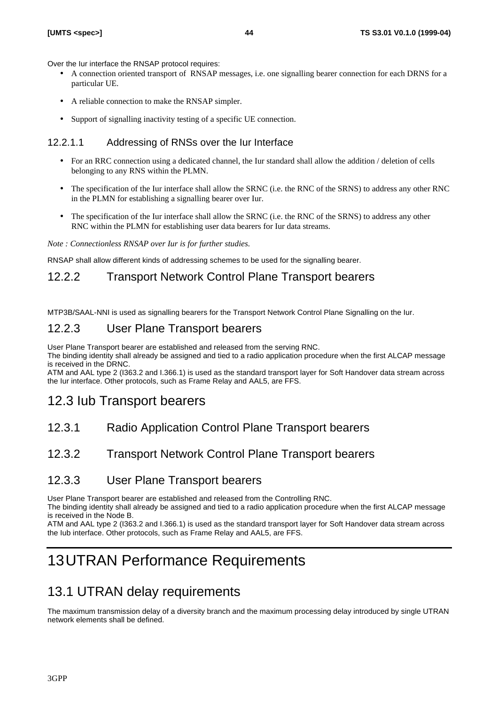Over the Iur interface the RNSAP protocol requires:

- A connection oriented transport of RNSAP messages, i.e. one signalling bearer connection for each DRNS for a particular UE.
- A reliable connection to make the RNSAP simpler.
- Support of signalling inactivity testing of a specific UE connection.

### 12.2.1.1 Addressing of RNSs over the Iur Interface

- For an RRC connection using a dedicated channel, the Iur standard shall allow the addition / deletion of cells belonging to any RNS within the PLMN.
- The specification of the Iur interface shall allow the SRNC (i.e. the RNC of the SRNS) to address any other RNC in the PLMN for establishing a signalling bearer over Iur.
- The specification of the Iur interface shall allow the SRNC (i.e. the RNC of the SRNS) to address any other RNC within the PLMN for establishing user data bearers for Iur data streams.

*Note : Connectionless RNSAP over Iur is for further studies.*

RNSAP shall allow different kinds of addressing schemes to be used for the signalling bearer.

### 12.2.2 Transport Network Control Plane Transport bearers

MTP3B/SAAL-NNI is used as signalling bearers for the Transport Network Control Plane Signalling on the Iur.

### 12.2.3 User Plane Transport bearers

User Plane Transport bearer are established and released from the serving RNC.

The binding identity shall already be assigned and tied to a radio application procedure when the first ALCAP message is received in the DRNC.

ATM and AAL type 2 (I363.2 and I.366.1) is used as the standard transport layer for Soft Handover data stream across the Iur interface. Other protocols, such as Frame Relay and AAL5, are FFS.

# 12.3 Iub Transport bearers

12.3.1 Radio Application Control Plane Transport bearers

### 12.3.2 Transport Network Control Plane Transport bearers

### 12.3.3 User Plane Transport bearers

User Plane Transport bearer are established and released from the Controlling RNC.

The binding identity shall already be assigned and tied to a radio application procedure when the first ALCAP message is received in the Node B.

ATM and AAL type 2 (I363.2 and I.366.1) is used as the standard transport layer for Soft Handover data stream across the Iub interface. Other protocols, such as Frame Relay and AAL5, are FFS.

# 13UTRAN Performance Requirements

# 13.1 UTRAN delay requirements

The maximum transmission delay of a diversity branch and the maximum processing delay introduced by single UTRAN network elements shall be defined.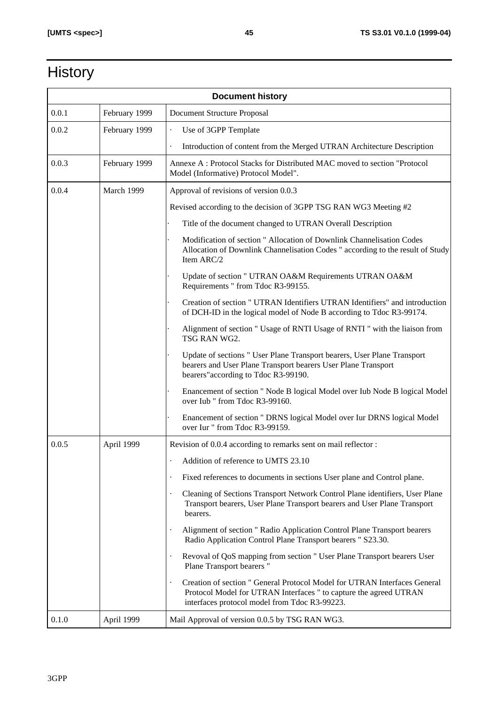# **History**

| <b>Document history</b> |               |                                                                                                                                                                                                 |
|-------------------------|---------------|-------------------------------------------------------------------------------------------------------------------------------------------------------------------------------------------------|
| 0.0.1                   | February 1999 | Document Structure Proposal                                                                                                                                                                     |
| 0.0.2                   | February 1999 | Use of 3GPP Template                                                                                                                                                                            |
|                         |               | Introduction of content from the Merged UTRAN Architecture Description                                                                                                                          |
| 0.0.3                   | February 1999 | Annexe A: Protocol Stacks for Distributed MAC moved to section "Protocol<br>Model (Informative) Protocol Model".                                                                                |
| 0.0.4                   | March 1999    | Approval of revisions of version 0.0.3                                                                                                                                                          |
|                         |               | Revised according to the decision of 3GPP TSG RAN WG3 Meeting #2                                                                                                                                |
|                         |               | Title of the document changed to UTRAN Overall Description                                                                                                                                      |
|                         |               | Modification of section " Allocation of Downlink Channelisation Codes<br>Allocation of Downlink Channelisation Codes " according to the result of Study<br>Item ARC/2                           |
|                         |               | Update of section " UTRAN OA&M Requirements UTRAN OA&M<br>Requirements " from Tdoc R3-99155.                                                                                                    |
|                         |               | Creation of section " UTRAN Identifiers UTRAN Identifiers" and introduction<br>of DCH-ID in the logical model of Node B according to Tdoc R3-99174.                                             |
|                         |               | Alignment of section " Usage of RNTI Usage of RNTI " with the liaison from<br>TSG RAN WG2.                                                                                                      |
|                         |               | Update of sections " User Plane Transport bearers, User Plane Transport<br>bearers and User Plane Transport bearers User Plane Transport<br>bearers" according to Tdoc R3-99190.                |
|                         |               | Enancement of section " Node B logical Model over Iub Node B logical Model<br>over Iub " from Tdoc R3-99160.                                                                                    |
|                         |               | Enancement of section " DRNS logical Model over Iur DRNS logical Model<br>over Iur " from Tdoc R3-99159.                                                                                        |
| 0.0.5                   | April 1999    | Revision of 0.0.4 according to remarks sent on mail reflector :                                                                                                                                 |
|                         |               | Addition of reference to UMTS 23.10                                                                                                                                                             |
|                         |               | Fixed references to documents in sections User plane and Control plane.<br>$\cdot$                                                                                                              |
|                         |               | Cleaning of Sections Transport Network Control Plane identifiers, User Plane<br>$\bullet$<br>Transport bearers, User Plane Transport bearers and User Plane Transport<br>bearers.               |
|                         |               | Alignment of section " Radio Application Control Plane Transport bearers<br>Radio Application Control Plane Transport bearers " S23.30.                                                         |
|                         |               | Revoval of QoS mapping from section " User Plane Transport bearers User<br>Plane Transport bearers"                                                                                             |
|                         |               | Creation of section " General Protocol Model for UTRAN Interfaces General<br>Protocol Model for UTRAN Interfaces " to capture the agreed UTRAN<br>interfaces protocol model from Tdoc R3-99223. |
| 0.1.0                   | April 1999    | Mail Approval of version 0.0.5 by TSG RAN WG3.                                                                                                                                                  |